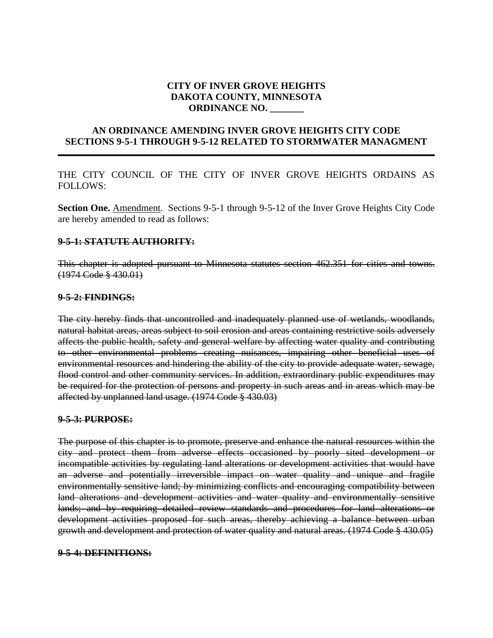#### **CITY OF INVER GROVE HEIGHTS DAKOTA COUNTY, MINNESOTA ORDINANCE NO. \_\_\_\_\_\_\_**

### **AN ORDINANCE AMENDING INVER GROVE HEIGHTS CITY CODE SECTIONS 9-5-1 THROUGH 9-5-12 RELATED TO STORMWATER MANAGMENT**

THE CITY COUNCIL OF THE CITY OF INVER GROVE HEIGHTS ORDAINS AS FOLLOWS:

**Section One.** Amendment. Sections 9-5-1 through 9-5-12 of the Inver Grove Heights City Code are hereby amended to read as follows:

#### **9-5-1: STATUTE AUTHORITY:**

This chapter is adopted pursuant to Minnesota statutes section 462.351 for cities and towns. (1974 Code § 430.01)

#### **9-5-2: FINDINGS:**

The city hereby finds that uncontrolled and inadequately planned use of wetlands, woodlands, natural habitat areas, areas subject to soil erosion and areas containing restrictive soils adversely affects the public health, safety and general welfare by affecting water quality and contributing to other environmental problems creating nuisances, impairing other beneficial uses of environmental resources and hindering the ability of the city to provide adequate water, sewage, flood control and other community services. In addition, extraordinary public expenditures may be required for the protection of persons and property in such areas and in areas which may be affected by unplanned land usage. (1974 Code § 430.03)

#### **9-5-3: PURPOSE:**

The purpose of this chapter is to promote, preserve and enhance the natural resources within the city and protect them from adverse effects occasioned by poorly sited development or incompatible activities by regulating land alterations or development activities that would have an adverse and potentially irreversible impact on water quality and unique and fragile environmentally sensitive land; by minimizing conflicts and encouraging compatibility between land alterations and development activities and water quality and environmentally sensitive lands; and by requiring detailed review standards and procedures for land alterations or development activities proposed for such areas, thereby achieving a balance between urban growth and development and protection of water quality and natural areas. (1974 Code § 430.05)

#### **9-5-4: DEFINITIONS:**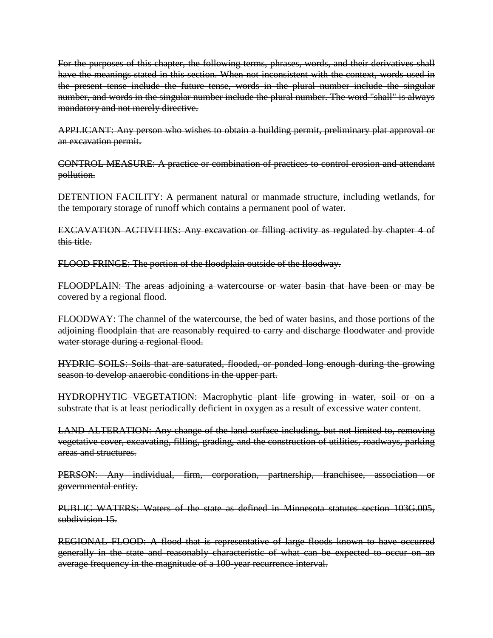For the purposes of this chapter, the following terms, phrases, words, and their derivatives shall have the meanings stated in this section. When not inconsistent with the context, words used in the present tense include the future tense, words in the plural number include the singular number, and words in the singular number include the plural number. The word "shall" is always mandatory and not merely directive.

APPLICANT: Any person who wishes to obtain a building permit, preliminary plat approval or an excavation permit.

CONTROL MEASURE: A practice or combination of practices to control erosion and attendant pollution.

DETENTION FACILITY: A permanent natural or manmade structure, including wetlands, for the temporary storage of runoff which contains a permanent pool of water.

EXCAVATION ACTIVITIES: Any excavation or filling activity as regulated by chapter 4 of this title.

FLOOD FRINGE: The portion of the floodplain outside of the floodway.

FLOODPLAIN: The areas adjoining a watercourse or water basin that have been or may be covered by a regional flood.

FLOODWAY: The channel of the watercourse, the bed of water basins, and those portions of the adjoining floodplain that are reasonably required to carry and discharge floodwater and provide water storage during a regional flood.

HYDRIC SOILS: Soils that are saturated, flooded, or ponded long enough during the growing season to develop anaerobic conditions in the upper part.

HYDROPHYTIC VEGETATION: Macrophytic plant life growing in water, soil or on a substrate that is at least periodically deficient in oxygen as a result of excessive water content.

LAND ALTERATION: Any change of the land surface including, but not limited to, removing vegetative cover, excavating, filling, grading, and the construction of utilities, roadways, parking areas and structures.

PERSON: Any individual, firm, corporation, partnership, franchisee, association or governmental entity.

PUBLIC WATERS: Waters of the state as defined in Minnesota statutes section 103G.005, subdivision 15.

REGIONAL FLOOD: A flood that is representative of large floods known to have occurred generally in the state and reasonably characteristic of what can be expected to occur on an average frequency in the magnitude of a 100-year recurrence interval.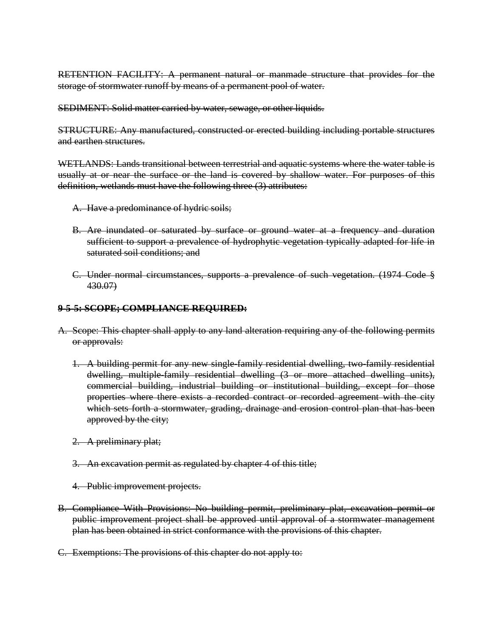RETENTION FACILITY: A permanent natural or manmade structure that provides for the storage of stormwater runoff by means of a permanent pool of water.

SEDIMENT: Solid matter carried by water, sewage, or other liquids.

STRUCTURE: Any manufactured, constructed or erected building including portable structures and earthen structures.

WETLANDS: Lands transitional between terrestrial and aquatic systems where the water table is usually at or near the surface or the land is covered by shallow water. For purposes of this definition, wetlands must have the following three (3) attributes:

- A. Have a predominance of hydric soils;
- B. Are inundated or saturated by surface or ground water at a frequency and duration sufficient to support a prevalence of hydrophytic vegetation typically adapted for life in saturated soil conditions; and
- C. Under normal circumstances, supports a prevalence of such vegetation. (1974 Code § 430.07)

#### **9-5-5: SCOPE; COMPLIANCE REQUIRED:**

- A. Scope: This chapter shall apply to any land alteration requiring any of the following permits or approvals:
	- 1. A building permit for any new single-family residential dwelling, two-family residential dwelling, multiple-family residential dwelling (3 or more attached dwelling units), commercial building, industrial building or institutional building, except for those properties where there exists a recorded contract or recorded agreement with the city which sets forth a stormwater, grading, drainage and erosion control plan that has been approved by the city;
	- 2. A preliminary plat;
	- 3. An excavation permit as regulated by chapter 4 of this title;
	- 4. Public improvement projects.
- B. Compliance With Provisions: No building permit, preliminary plat, excavation permit or public improvement project shall be approved until approval of a stormwater management plan has been obtained in strict conformance with the provisions of this chapter.
- C. Exemptions: The provisions of this chapter do not apply to: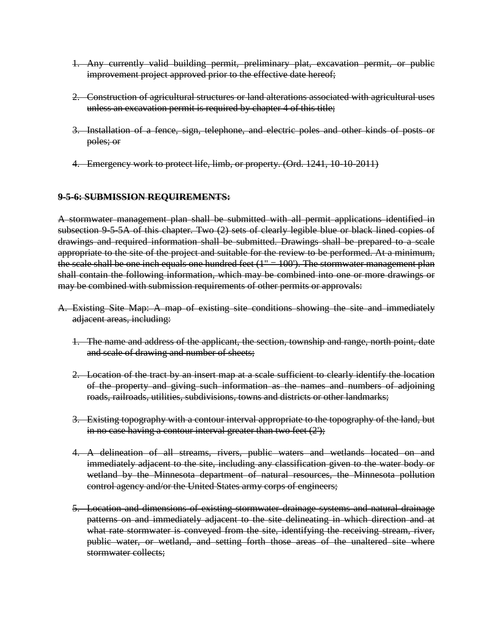- 1. Any currently valid building permit, preliminary plat, excavation permit, or public improvement project approved prior to the effective date hereof;
- 2. Construction of agricultural structures or land alterations associated with agricultural uses unless an excavation permit is required by chapter 4 of this title;
- 3. Installation of a fence, sign, telephone, and electric poles and other kinds of posts or poles; or
- 4. Emergency work to protect life, limb, or property. (Ord. 1241, 10-10-2011)

#### **9-5-6: SUBMISSION REQUIREMENTS:**

A stormwater management plan shall be submitted with all permit applications identified in subsection 9-5-5A of this chapter. Two (2) sets of clearly legible blue or black lined copies of drawings and required information shall be submitted. Drawings shall be prepared to a scale appropriate to the site of the project and suitable for the review to be performed. At a minimum, the scale shall be one inch equals one hundred feet  $(1" = 100')$ . The stormwater management plan shall contain the following information, which may be combined into one or more drawings or may be combined with submission requirements of other permits or approvals:

- A. Existing Site Map: A map of existing site conditions showing the site and immediately adjacent areas, including:
	- 1. The name and address of the applicant, the section, township and range, north point, date and scale of drawing and number of sheets;
	- 2. Location of the tract by an insert map at a scale sufficient to clearly identify the location of the property and giving such information as the names and numbers of adjoining roads, railroads, utilities, subdivisions, towns and districts or other landmarks;
	- 3. Existing topography with a contour interval appropriate to the topography of the land, but in no case having a contour interval greater than two feet  $(2')$ ;
	- 4. A delineation of all streams, rivers, public waters and wetlands located on and immediately adjacent to the site, including any classification given to the water body or wetland by the Minnesota department of natural resources, the Minnesota pollution control agency and/or the United States army corps of engineers;
	- 5. Location and dimensions of existing stormwater drainage systems and natural drainage patterns on and immediately adjacent to the site delineating in which direction and at what rate stormwater is conveyed from the site, identifying the receiving stream, river, public water, or wetland, and setting forth those areas of the unaltered site where stormwater collects;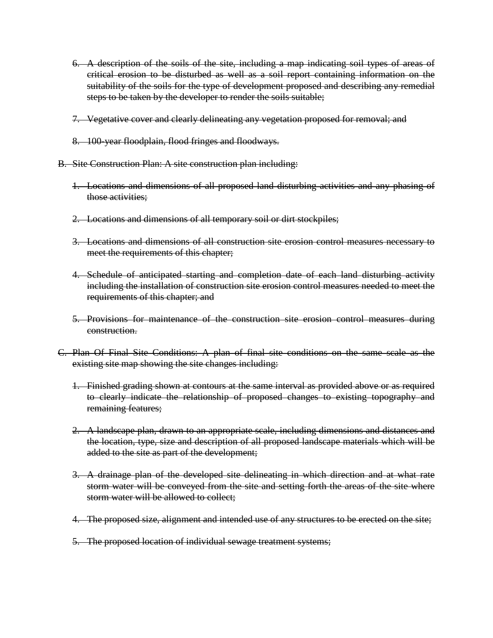- 6. A description of the soils of the site, including a map indicating soil types of areas of critical erosion to be disturbed as well as a soil report containing information on the suitability of the soils for the type of development proposed and describing any remedial steps to be taken by the developer to render the soils suitable;
- 7. Vegetative cover and clearly delineating any vegetation proposed for removal; and
- 8. 100-year floodplain, flood fringes and floodways.
- B. Site Construction Plan: A site construction plan including:
	- 1. Locations and dimensions of all proposed land disturbing activities and any phasing of those activities;
	- 2. Locations and dimensions of all temporary soil or dirt stockpiles;
	- 3. Locations and dimensions of all construction site erosion control measures necessary to meet the requirements of this chapter;
	- 4. Schedule of anticipated starting and completion date of each land disturbing activity including the installation of construction site erosion control measures needed to meet the requirements of this chapter; and
	- 5. Provisions for maintenance of the construction site erosion control measures during construction.
- C. Plan Of Final Site Conditions: A plan of final site conditions on the same scale as the existing site map showing the site changes including:
	- 1. Finished grading shown at contours at the same interval as provided above or as required to clearly indicate the relationship of proposed changes to existing topography and remaining features;
	- 2. A landscape plan, drawn to an appropriate scale, including dimensions and distances and the location, type, size and description of all proposed landscape materials which will be added to the site as part of the development;
	- 3. A drainage plan of the developed site delineating in which direction and at what rate storm water will be conveyed from the site and setting forth the areas of the site where storm water will be allowed to collect;
	- 4. The proposed size, alignment and intended use of any structures to be erected on the site;
	- 5. The proposed location of individual sewage treatment systems;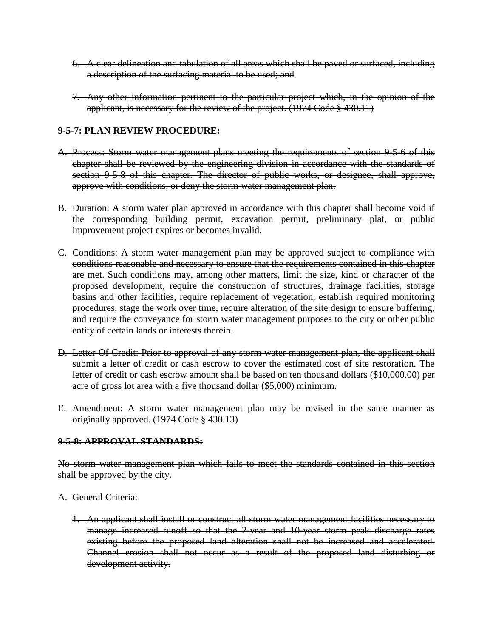- 6. A clear delineation and tabulation of all areas which shall be paved or surfaced, including a description of the surfacing material to be used; and
- 7. Any other information pertinent to the particular project which, in the opinion of the applicant, is necessary for the review of the project. (1974 Code § 430.11)

#### **9-5-7: PLAN REVIEW PROCEDURE:**

- A. Process: Storm water management plans meeting the requirements of section 9.5.6 of this chapter shall be reviewed by the engineering division in accordance with the standards of section 9-5-8 of this chapter. The director of public works, or designee, shall approve, approve with conditions, or deny the storm water management plan.
- B. Duration: A storm water plan approved in accordance with this chapter shall become void if the corresponding building permit, excavation permit, preliminary plat, or public improvement project expires or becomes invalid.
- C. Conditions: A storm water management plan may be approved subject to compliance with conditions reasonable and necessary to ensure that the requirements contained in this chapter are met. Such conditions may, among other matters, limit the size, kind or character of the proposed development, require the construction of structures, drainage facilities, storage basins and other facilities, require replacement of vegetation, establish required monitoring procedures, stage the work over time, require alteration of the site design to ensure buffering, and require the conveyance for storm water management purposes to the city or other public entity of certain lands or interests therein.
- D. Letter Of Credit: Prior to approval of any storm water management plan, the applicant shall submit a letter of credit or cash escrow to cover the estimated cost of site restoration. The letter of credit or cash escrow amount shall be based on ten thousand dollars (\$10,000.00) per acre of gross lot area with a five thousand dollar (\$5,000) minimum.
- E. Amendment: A storm water management plan may be revised in the same manner as originally approved. (1974 Code § 430.13)

### **9-5-8: APPROVAL STANDARDS:**

No storm water management plan which fails to meet the standards contained in this section shall be approved by the city.

#### A. General Criteria:

1. An applicant shall install or construct all storm water management facilities necessary to manage increased runoff so that the 2-year and 10-year storm peak discharge rates existing before the proposed land alteration shall not be increased and accelerated. Channel erosion shall not occur as a result of the proposed land disturbing or development activity.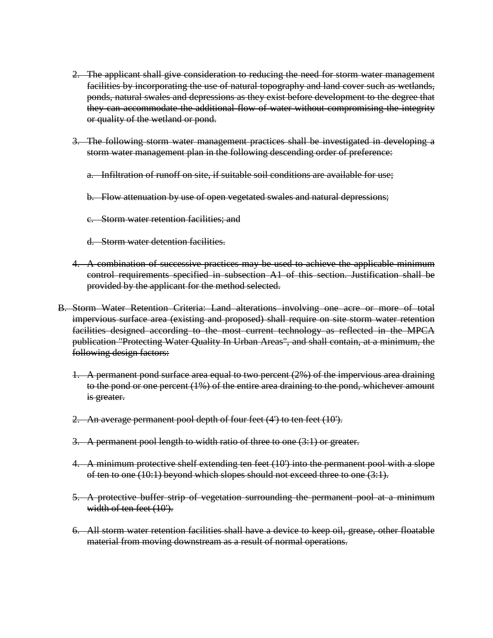- 2. The applicant shall give consideration to reducing the need for storm water management facilities by incorporating the use of natural topography and land cover such as wetlands, ponds, natural swales and depressions as they exist before development to the degree that they can accommodate the additional flow of water without compromising the integrity or quality of the wetland or pond.
- 3. The following storm water management practices shall be investigated in developing a storm water management plan in the following descending order of preference:
	- a. Infiltration of runoff on site, if suitable soil conditions are available for use;
	- b. Flow attenuation by use of open vegetated swales and natural depressions;
	- c. Storm water retention facilities; and
	- d. Storm water detention facilities.
- 4. A combination of successive practices may be used to achieve the applicable minimum control requirements specified in subsection A1 of this section. Justification shall be provided by the applicant for the method selected.
- B. Storm Water Retention Criteria: Land alterations involving one acre or more of total impervious surface area (existing and proposed) shall require on site storm water retention facilities designed according to the most current technology as reflected in the MPCA publication "Protecting Water Quality In Urban Areas", and shall contain, at a minimum, the following design factors:
	- 1. A permanent pond surface area equal to two percent (2%) of the impervious area draining to the pond or one percent (1%) of the entire area draining to the pond, whichever amount is greater.
	- 2. An average permanent pool depth of four feet (4') to ten feet (10').
	- 3. A permanent pool length to width ratio of three to one (3:1) or greater.
	- 4. A minimum protective shelf extending ten feet (10') into the permanent pool with a slope of ten to one (10:1) beyond which slopes should not exceed three to one (3:1).
	- 5. A protective buffer strip of vegetation surrounding the permanent pool at a minimum width of ten feet (10').
	- 6. All storm water retention facilities shall have a device to keep oil, grease, other floatable material from moving downstream as a result of normal operations.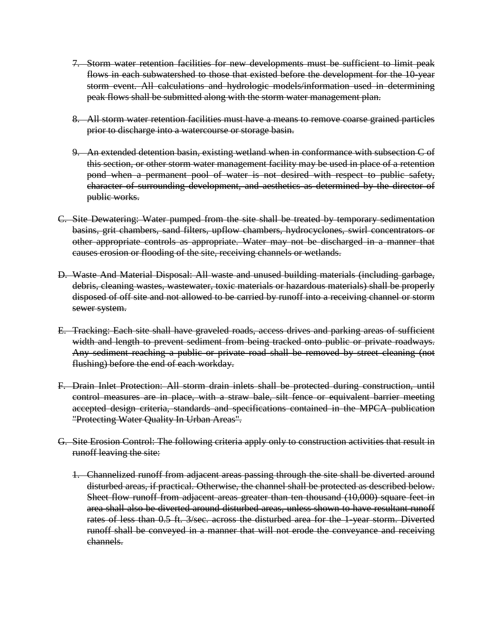- 7. Storm water retention facilities for new developments must be sufficient to limit peak flows in each subwatershed to those that existed before the development for the 10-year storm event. All calculations and hydrologic models/information used in determining peak flows shall be submitted along with the storm water management plan.
- 8. All storm water retention facilities must have a means to remove coarse grained particles prior to discharge into a watercourse or storage basin.
- 9. An extended detention basin, existing wetland when in conformance with subsection C of this section, or other storm water management facility may be used in place of a retention pond when a permanent pool of water is not desired with respect to public safety, character of surrounding development, and aesthetics as determined by the director of public works.
- C. Site Dewatering: Water pumped from the site shall be treated by temporary sedimentation basins, grit chambers, sand filters, upflow chambers, hydrocyclones, swirl concentrators or other appropriate controls as appropriate. Water may not be discharged in a manner that causes erosion or flooding of the site, receiving channels or wetlands.
- D. Waste And Material Disposal: All waste and unused building materials (including garbage, debris, cleaning wastes, wastewater, toxic materials or hazardous materials) shall be properly disposed of off site and not allowed to be carried by runoff into a receiving channel or storm sewer system.
- E. Tracking: Each site shall have graveled roads, access drives and parking areas of sufficient width and length to prevent sediment from being tracked onto public or private roadways. Any sediment reaching a public or private road shall be removed by street cleaning (not flushing) before the end of each workday.
- F. Drain Inlet Protection: All storm drain inlets shall be protected during construction, until control measures are in place, with a straw bale, silt fence or equivalent barrier meeting accepted design criteria, standards and specifications contained in the MPCA publication "Protecting Water Quality In Urban Areas".
- G. Site Erosion Control: The following criteria apply only to construction activities that result in runoff leaving the site:
	- 1. Channelized runoff from adjacent areas passing through the site shall be diverted around disturbed areas, if practical. Otherwise, the channel shall be protected as described below. Sheet flow runoff from adjacent areas greater than ten thousand (10,000) square feet in area shall also be diverted around disturbed areas, unless shown to have resultant runoff rates of less than 0.5 ft. 3/sec. across the disturbed area for the 1-year storm. Diverted runoff shall be conveyed in a manner that will not erode the conveyance and receiving channels.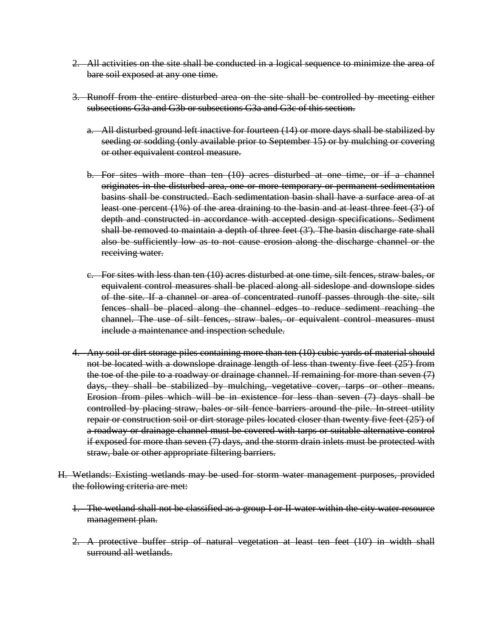- 2. All activities on the site shall be conducted in a logical sequence to minimize the area of bare soil exposed at any one time.
- 3. Runoff from the entire disturbed area on the site shall be controlled by meeting either subsections G3a and G3b or subsections G3a and G3c of this section.
	- a. All disturbed ground left inactive for fourteen (14) or more days shall be stabilized by seeding or sodding (only available prior to September 15) or by mulching or covering or other equivalent control measure.
	- b. For sites with more than ten (10) acres disturbed at one time, or if a channel originates in the disturbed area, one or more temporary or permanent sedimentation basins shall be constructed. Each sedimentation basin shall have a surface area of at least one percent (1%) of the area draining to the basin and at least three feet (3') of depth and constructed in accordance with accepted design specifications. Sediment shall be removed to maintain a depth of three feet (3'). The basin discharge rate shall also be sufficiently low as to not cause erosion along the discharge channel or the receiving water.
	- c. For sites with less than ten (10) acres disturbed at one time, silt fences, straw bales, or equivalent control measures shall be placed along all sideslope and downslope sides of the site. If a channel or area of concentrated runoff passes through the site, silt fences shall be placed along the channel edges to reduce sediment reaching the channel. The use of silt fences, straw bales, or equivalent control measures must include a maintenance and inspection schedule.
- 4. Any soil or dirt storage piles containing more than ten (10) cubic yards of material should not be located with a downslope drainage length of less than twenty five feet (25') from the toe of the pile to a roadway or drainage channel. If remaining for more than seven (7) days, they shall be stabilized by mulching, vegetative cover, tarps or other means. Erosion from piles which will be in existence for less than seven (7) days shall be controlled by placing straw, bales or silt fence barriers around the pile. In-street utility repair or construction soil or dirt storage piles located closer than twenty five feet (25') of a roadway or drainage channel must be covered with tarps or suitable alternative control if exposed for more than seven (7) days, and the storm drain inlets must be protected with straw, bale or other appropriate filtering barriers.
- H. Wetlands: Existing wetlands may be used for storm water management purposes, provided the following criteria are met:
	- 1. The wetland shall not be classified as a group I or II water within the city water resource management plan.
	- 2. A protective buffer strip of natural vegetation at least ten feet (10') in width shall surround all wetlands.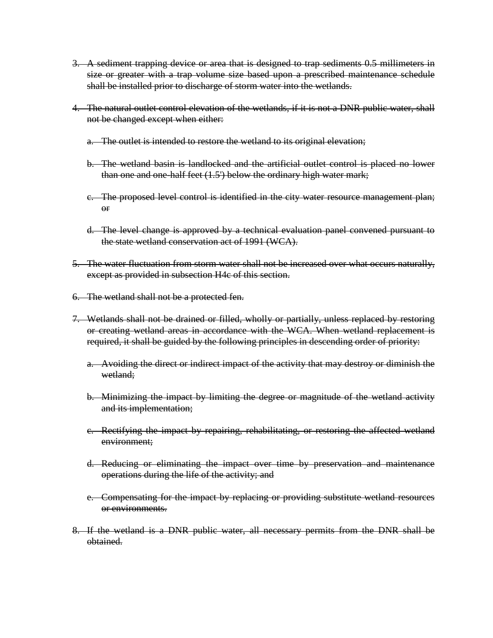- 3. A sediment trapping device or area that is designed to trap sediments 0.5 millimeters in size or greater with a trap volume size based upon a prescribed maintenance schedule shall be installed prior to discharge of storm water into the wetlands.
- 4. The natural outlet control elevation of the wetlands, if it is not a DNR public water, shall not be changed except when either:
	- a. The outlet is intended to restore the wetland to its original elevation;
	- b. The wetland basin is landlocked and the artificial outlet control is placed no lower than one and one-half feet (1.5') below the ordinary high water mark;
	- c. The proposed level control is identified in the city water resource management plan; or
	- d. The level change is approved by a technical evaluation panel convened pursuant to the state wetland conservation act of 1991 (WCA).
- 5. The water fluctuation from storm water shall not be increased over what occurs naturally, except as provided in subsection H4c of this section.
- 6. The wetland shall not be a protected fen.
- 7. Wetlands shall not be drained or filled, wholly or partially, unless replaced by restoring or creating wetland areas in accordance with the WCA. When wetland replacement is required, it shall be guided by the following principles in descending order of priority:
	- a. Avoiding the direct or indirect impact of the activity that may destroy or diminish the wetland;
	- b. Minimizing the impact by limiting the degree or magnitude of the wetland activity and its implementation;
	- c. Rectifying the impact by repairing, rehabilitating, or restoring the affected wetland environment;
	- d. Reducing or eliminating the impact over time by preservation and maintenance operations during the life of the activity; and
	- e. Compensating for the impact by replacing or providing substitute wetland resources or environments.
- 8. If the wetland is a DNR public water, all necessary permits from the DNR shall be obtained.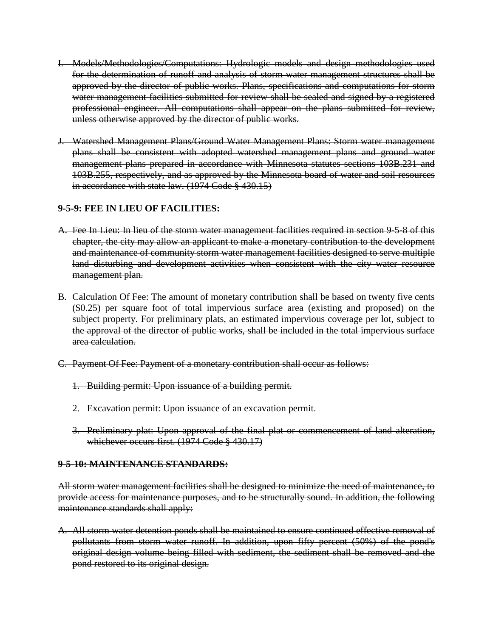- I. Models/Methodologies/Computations: Hydrologic models and design methodologies used for the determination of runoff and analysis of storm water management structures shall be approved by the director of public works. Plans, specifications and computations for storm water management facilities submitted for review shall be sealed and signed by a registered professional engineer. All computations shall appear on the plans submitted for review, unless otherwise approved by the director of public works.
- J. Watershed Management Plans/Ground Water Management Plans: Storm water management plans shall be consistent with adopted watershed management plans and ground water management plans prepared in accordance with Minnesota statutes sections 103B.231 and 103B.255, respectively, and as approved by the Minnesota board of water and soil resources in accordance with state law. (1974 Code § 430.15)

### **9-5-9: FEE IN LIEU OF FACILITIES:**

- A. Fee In Lieu: In lieu of the storm water management facilities required in section 9-5-8 of this chapter, the city may allow an applicant to make a monetary contribution to the development and maintenance of community storm water management facilities designed to serve multiple land disturbing and development activities when consistent with the city water resource management plan.
- B. Calculation Of Fee: The amount of monetary contribution shall be based on twenty five cents (\$0.25) per square foot of total impervious surface area (existing and proposed) on the subject property. For preliminary plats, an estimated impervious coverage per lot, subject to the approval of the director of public works, shall be included in the total impervious surface area calculation.
- C. Payment Of Fee: Payment of a monetary contribution shall occur as follows:
	- 1. Building permit: Upon issuance of a building permit.
	- 2. Excavation permit: Upon issuance of an excavation permit.
	- 3. Preliminary plat: Upon approval of the final plat or commencement of land alteration, whichever occurs first. (1974 Code § 430.17)

### **9-5-10: MAINTENANCE STANDARDS:**

All storm water management facilities shall be designed to minimize the need of maintenance, to provide access for maintenance purposes, and to be structurally sound. In addition, the following maintenance standards shall apply:

A. All storm water detention ponds shall be maintained to ensure continued effective removal of pollutants from storm water runoff. In addition, upon fifty percent (50%) of the pond's original design volume being filled with sediment, the sediment shall be removed and the pond restored to its original design.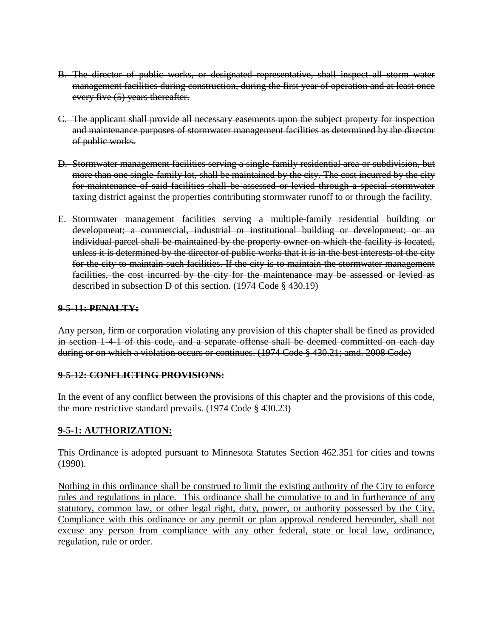- B. The director of public works, or designated representative, shall inspect all storm water management facilities during construction, during the first year of operation and at least once every five (5) years thereafter.
- C. The applicant shall provide all necessary easements upon the subject property for inspection and maintenance purposes of stormwater management facilities as determined by the director of public works.
- D. Stormwater management facilities serving a single-family residential area or subdivision, but more than one single-family lot, shall be maintained by the city. The cost incurred by the city for maintenance of said facilities shall be assessed or levied through a special stormwater taxing district against the properties contributing stormwater runoff to or through the facility.
- E. Stormwater management facilities serving a multiple-family residential building or development; a commercial, industrial or institutional building or development; or an individual parcel shall be maintained by the property owner on which the facility is located, unless it is determined by the director of public works that it is in the best interests of the city for the city to maintain such facilities. If the city is to maintain the stormwater management facilities, the cost incurred by the city for the maintenance may be assessed or levied as described in subsection D of this section. (1974 Code § 430.19)

### **9-5-11: PENALTY:**

Any person, firm or corporation violating any provision of this chapter shall be fined as provided in section 1-4-1 of this code, and a separate offense shall be deemed committed on each day during or on which a violation occurs or continues. (1974 Code § 430.21; amd. 2008 Code)

#### **9-5-12: CONFLICTING PROVISIONS:**

In the event of any conflict between the provisions of this chapter and the provisions of this code, the more restrictive standard prevails. (1974 Code § 430.23)

### **9-5-1: AUTHORIZATION:**

#### This Ordinance is adopted pursuant to Minnesota Statutes Section 462.351 for cities and towns (1990).

Nothing in this ordinance shall be construed to limit the existing authority of the City to enforce rules and regulations in place. This ordinance shall be cumulative to and in furtherance of any statutory, common law, or other legal right, duty, power, or authority possessed by the City. Compliance with this ordinance or any permit or plan approval rendered hereunder, shall not excuse any person from compliance with any other federal, state or local law, ordinance, regulation, rule or order.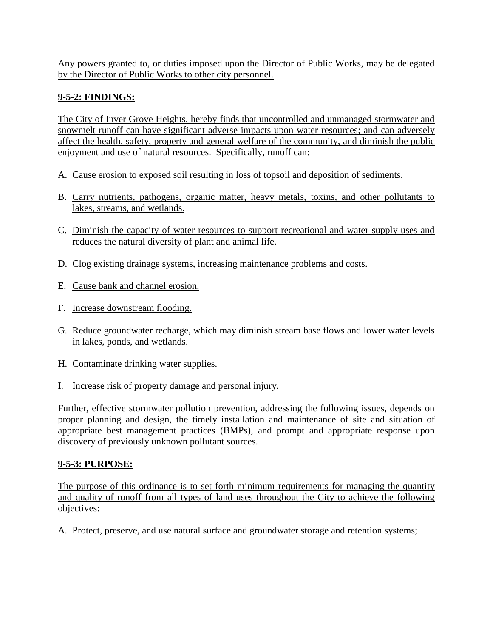Any powers granted to, or duties imposed upon the Director of Public Works, may be delegated by the Director of Public Works to other city personnel.

# **9-5-2: FINDINGS:**

The City of Inver Grove Heights, hereby finds that uncontrolled and unmanaged stormwater and snowmelt runoff can have significant adverse impacts upon water resources; and can adversely affect the health, safety, property and general welfare of the community, and diminish the public enjoyment and use of natural resources. Specifically, runoff can:

- A. Cause erosion to exposed soil resulting in loss of topsoil and deposition of sediments.
- B. Carry nutrients, pathogens, organic matter, heavy metals, toxins, and other pollutants to lakes, streams, and wetlands.
- C. Diminish the capacity of water resources to support recreational and water supply uses and reduces the natural diversity of plant and animal life.
- D. Clog existing drainage systems, increasing maintenance problems and costs.
- E. Cause bank and channel erosion.
- F. Increase downstream flooding.
- G. Reduce groundwater recharge, which may diminish stream base flows and lower water levels in lakes, ponds, and wetlands.
- H. Contaminate drinking water supplies.
- I. Increase risk of property damage and personal injury.

Further, effective stormwater pollution prevention, addressing the following issues, depends on proper planning and design, the timely installation and maintenance of site and situation of appropriate best management practices (BMPs), and prompt and appropriate response upon discovery of previously unknown pollutant sources.

## **9-5-3: PURPOSE:**

The purpose of this ordinance is to set forth minimum requirements for managing the quantity and quality of runoff from all types of land uses throughout the City to achieve the following objectives:

A. Protect, preserve, and use natural surface and groundwater storage and retention systems;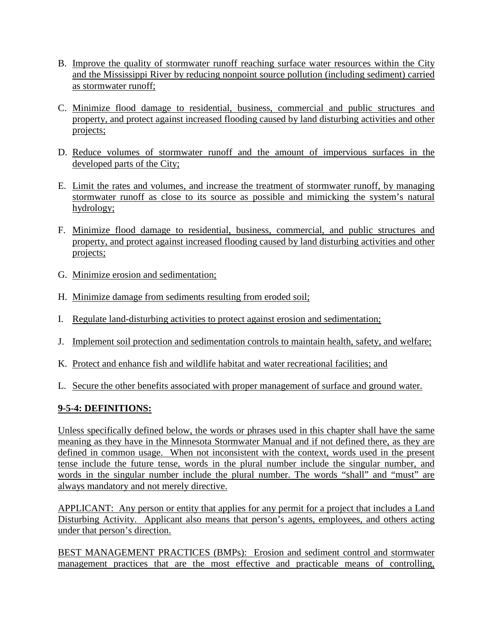- B. Improve the quality of stormwater runoff reaching surface water resources within the City and the Mississippi River by reducing nonpoint source pollution (including sediment) carried as stormwater runoff;
- C. Minimize flood damage to residential, business, commercial and public structures and property, and protect against increased flooding caused by land disturbing activities and other projects;
- D. Reduce volumes of stormwater runoff and the amount of impervious surfaces in the developed parts of the City;
- E. Limit the rates and volumes, and increase the treatment of stormwater runoff, by managing stormwater runoff as close to its source as possible and mimicking the system's natural hydrology;
- F. Minimize flood damage to residential, business, commercial, and public structures and property, and protect against increased flooding caused by land disturbing activities and other projects;
- G. Minimize erosion and sedimentation;
- H. Minimize damage from sediments resulting from eroded soil;
- I. Regulate land-disturbing activities to protect against erosion and sedimentation;
- J. Implement soil protection and sedimentation controls to maintain health, safety, and welfare;
- K. Protect and enhance fish and wildlife habitat and water recreational facilities; and
- L. Secure the other benefits associated with proper management of surface and ground water.

## **9-5-4: DEFINITIONS:**

Unless specifically defined below, the words or phrases used in this chapter shall have the same meaning as they have in the Minnesota Stormwater Manual and if not defined there, as they are defined in common usage. When not inconsistent with the context, words used in the present tense include the future tense, words in the plural number include the singular number, and words in the singular number include the plural number. The words "shall" and "must" are always mandatory and not merely directive.

APPLICANT: Any person or entity that applies for any permit for a project that includes a Land Disturbing Activity. Applicant also means that person's agents, employees, and others acting under that person's direction.

BEST MANAGEMENT PRACTICES (BMPs): Erosion and sediment control and stormwater management practices that are the most effective and practicable means of controlling,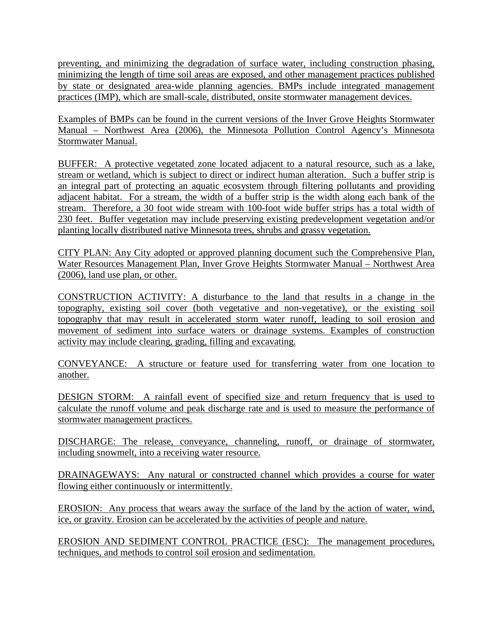preventing, and minimizing the degradation of surface water, including construction phasing, minimizing the length of time soil areas are exposed, and other management practices published by state or designated area-wide planning agencies. BMPs include integrated management practices (IMP), which are small-scale, distributed, onsite stormwater management devices.

Examples of BMPs can be found in the current versions of the Inver Grove Heights Stormwater Manual – Northwest Area (2006), the Minnesota Pollution Control Agency's Minnesota Stormwater Manual.

BUFFER: A protective vegetated zone located adjacent to a natural resource, such as a lake, stream or wetland, which is subject to direct or indirect human alteration. Such a buffer strip is an integral part of protecting an aquatic ecosystem through filtering pollutants and providing adjacent habitat. For a stream, the width of a buffer strip is the width along each bank of the stream. Therefore, a 30 foot wide stream with 100-foot wide buffer strips has a total width of 230 feet. Buffer vegetation may include preserving existing predevelopment vegetation and/or planting locally distributed native Minnesota trees, shrubs and grassy vegetation.

CITY PLAN: Any City adopted or approved planning document such the Comprehensive Plan, Water Resources Management Plan, Inver Grove Heights Stormwater Manual – Northwest Area (2006), land use plan, or other.

CONSTRUCTION ACTIVITY: A disturbance to the land that results in a change in the topography, existing soil cover (both vegetative and non-vegetative), or the existing soil topography that may result in accelerated storm water runoff, leading to soil erosion and movement of sediment into surface waters or drainage systems. Examples of construction activity may include clearing, grading, filling and excavating.

CONVEYANCE: A structure or feature used for transferring water from one location to another.

DESIGN STORM: A rainfall event of specified size and return frequency that is used to calculate the runoff volume and peak discharge rate and is used to measure the performance of stormwater management practices.

DISCHARGE: The release, conveyance, channeling, runoff, or drainage of stormwater, including snowmelt, into a receiving water resource.

DRAINAGEWAYS: Any natural or constructed channel which provides a course for water flowing either continuously or intermittently.

EROSION: Any process that wears away the surface of the land by the action of water, wind, ice, or gravity. Erosion can be accelerated by the activities of people and nature.

EROSION AND SEDIMENT CONTROL PRACTICE (ESC): The management procedures, techniques, and methods to control soil erosion and sedimentation.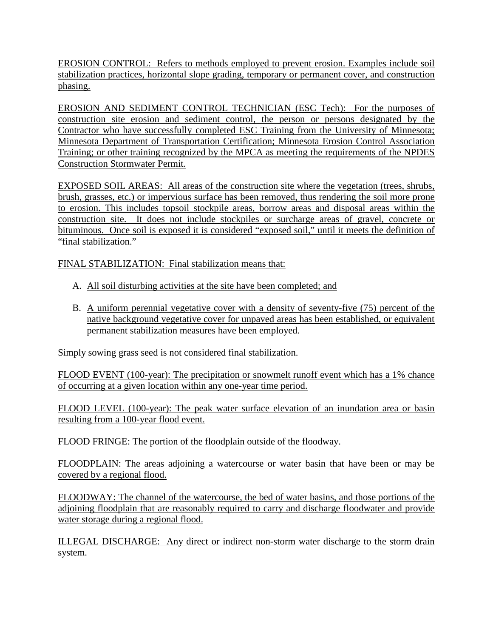EROSION CONTROL: Refers to methods employed to prevent erosion. Examples include soil stabilization practices, horizontal slope grading, temporary or permanent cover, and construction phasing.

EROSION AND SEDIMENT CONTROL TECHNICIAN (ESC Tech): For the purposes of construction site erosion and sediment control, the person or persons designated by the Contractor who have successfully completed ESC Training from the University of Minnesota; Minnesota Department of Transportation Certification; Minnesota Erosion Control Association Training; or other training recognized by the MPCA as meeting the requirements of the NPDES Construction Stormwater Permit.

EXPOSED SOIL AREAS: All areas of the construction site where the vegetation (trees, shrubs, brush, grasses, etc.) or impervious surface has been removed, thus rendering the soil more prone to erosion. This includes topsoil stockpile areas, borrow areas and disposal areas within the construction site. It does not include stockpiles or surcharge areas of gravel, concrete or bituminous. Once soil is exposed it is considered "exposed soil," until it meets the definition of "final stabilization."

FINAL STABILIZATION: Final stabilization means that:

- A. All soil disturbing activities at the site have been completed; and
- B. A uniform perennial vegetative cover with a density of seventy-five (75) percent of the native background vegetative cover for unpaved areas has been established, or equivalent permanent stabilization measures have been employed.

Simply sowing grass seed is not considered final stabilization.

FLOOD EVENT (100-year): The precipitation or snowmelt runoff event which has a 1% chance of occurring at a given location within any one-year time period.

FLOOD LEVEL (100-year): The peak water surface elevation of an inundation area or basin resulting from a 100-year flood event.

FLOOD FRINGE: The portion of the floodplain outside of the floodway.

FLOODPLAIN: The areas adjoining a watercourse or water basin that have been or may be covered by a regional flood.

FLOODWAY: The channel of the watercourse, the bed of water basins, and those portions of the adjoining floodplain that are reasonably required to carry and discharge floodwater and provide water storage during a regional flood.

ILLEGAL DISCHARGE: Any direct or indirect non-storm water discharge to the storm drain system.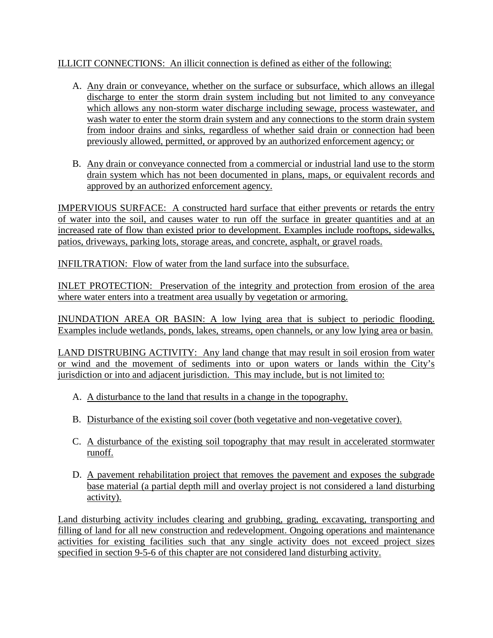### ILLICIT CONNECTIONS: An illicit connection is defined as either of the following:

- A. Any drain or conveyance, whether on the surface or subsurface, which allows an illegal discharge to enter the storm drain system including but not limited to any conveyance which allows any non-storm water discharge including sewage, process wastewater, and wash water to enter the storm drain system and any connections to the storm drain system from indoor drains and sinks, regardless of whether said drain or connection had been previously allowed, permitted, or approved by an authorized enforcement agency; or
- B. Any drain or conveyance connected from a commercial or industrial land use to the storm drain system which has not been documented in plans, maps, or equivalent records and approved by an authorized enforcement agency.

IMPERVIOUS SURFACE: A constructed hard surface that either prevents or retards the entry of water into the soil, and causes water to run off the surface in greater quantities and at an increased rate of flow than existed prior to development. Examples include rooftops, sidewalks, patios, driveways, parking lots, storage areas, and concrete, asphalt, or gravel roads.

INFILTRATION: Flow of water from the land surface into the subsurface.

INLET PROTECTION: Preservation of the integrity and protection from erosion of the area where water enters into a treatment area usually by vegetation or armoring.

INUNDATION AREA OR BASIN: A low lying area that is subject to periodic flooding. Examples include wetlands, ponds, lakes, streams, open channels, or any low lying area or basin.

LAND DISTRUBING ACTIVITY: Any land change that may result in soil erosion from water or wind and the movement of sediments into or upon waters or lands within the City's jurisdiction or into and adjacent jurisdiction. This may include, but is not limited to:

- A. A disturbance to the land that results in a change in the topography.
- B. Disturbance of the existing soil cover (both vegetative and non-vegetative cover).
- C. A disturbance of the existing soil topography that may result in accelerated stormwater runoff.
- D. A pavement rehabilitation project that removes the pavement and exposes the subgrade base material (a partial depth mill and overlay project is not considered a land disturbing activity).

Land disturbing activity includes clearing and grubbing, grading, excavating, transporting and filling of land for all new construction and redevelopment. Ongoing operations and maintenance activities for existing facilities such that any single activity does not exceed project sizes specified in section 9-5-6 of this chapter are not considered land disturbing activity.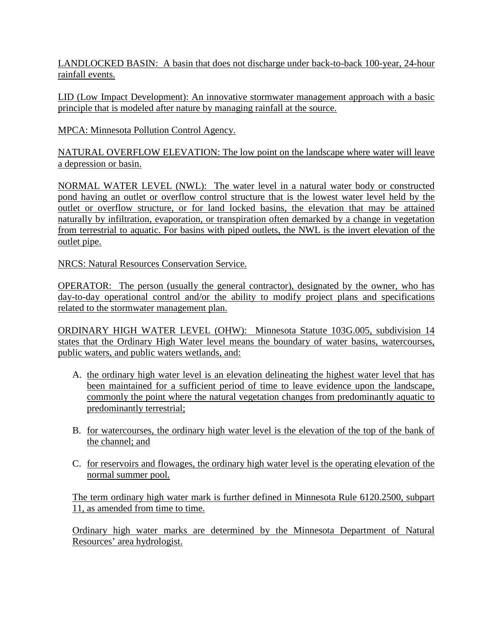LANDLOCKED BASIN: A basin that does not discharge under back-to-back 100-year, 24-hour rainfall events.

LID (Low Impact Development): An innovative stormwater management approach with a basic principle that is modeled after nature by managing rainfall at the source.

MPCA: Minnesota Pollution Control Agency.

NATURAL OVERFLOW ELEVATION: The low point on the landscape where water will leave a depression or basin.

NORMAL WATER LEVEL (NWL): The water level in a natural water body or constructed pond having an outlet or overflow control structure that is the lowest water level held by the outlet or overflow structure, or for land locked basins, the elevation that may be attained naturally by infiltration, evaporation, or transpiration often demarked by a change in vegetation from terrestrial to aquatic. For basins with piped outlets, the NWL is the invert elevation of the outlet pipe.

NRCS: Natural Resources Conservation Service.

OPERATOR: The person (usually the general contractor), designated by the owner, who has day-to-day operational control and/or the ability to modify project plans and specifications related to the stormwater management plan.

ORDINARY HIGH WATER LEVEL (OHW): Minnesota Statute 103G.005, subdivision 14 states that the Ordinary High Water level means the boundary of water basins, watercourses, public waters, and public waters wetlands, and:

- A. the ordinary high water level is an elevation delineating the highest water level that has been maintained for a sufficient period of time to leave evidence upon the landscape, commonly the point where the natural vegetation changes from predominantly aquatic to predominantly terrestrial;
- B. for watercourses, the ordinary high water level is the elevation of the top of the bank of the channel; and
- C. for reservoirs and flowages, the ordinary high water level is the operating elevation of the normal summer pool.

The term ordinary high water mark is further defined in Minnesota Rule 6120.2500, subpart 11, as amended from time to time.

Ordinary high water marks are determined by the Minnesota Department of Natural Resources' area hydrologist.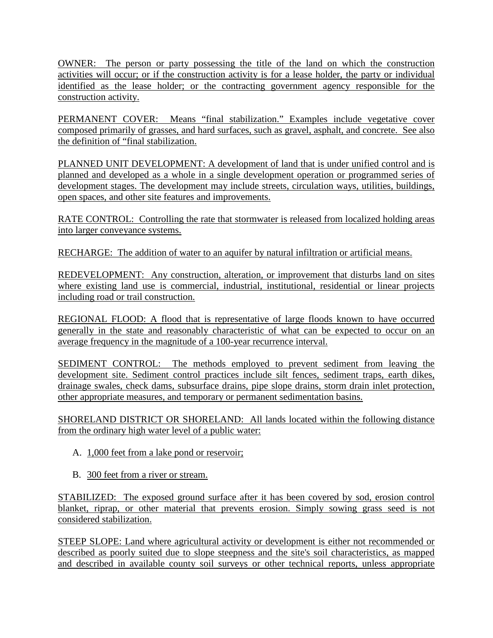OWNER: The person or party possessing the title of the land on which the construction activities will occur; or if the construction activity is for a lease holder, the party or individual identified as the lease holder; or the contracting government agency responsible for the construction activity.

PERMANENT COVER: Means "final stabilization." Examples include vegetative cover composed primarily of grasses, and hard surfaces, such as gravel, asphalt, and concrete. See also the definition of "final stabilization.

PLANNED UNIT DEVELOPMENT: A development of land that is under unified control and is planned and developed as a whole in a single development operation or programmed series of development stages. The development may include streets, circulation ways, utilities, buildings, open spaces, and other site features and improvements.

RATE CONTROL: Controlling the rate that stormwater is released from localized holding areas into larger conveyance systems.

RECHARGE: The addition of water to an aquifer by natural infiltration or artificial means.

REDEVELOPMENT: Any construction, alteration, or improvement that disturbs land on sites where existing land use is commercial, industrial, institutional, residential or linear projects including road or trail construction.

REGIONAL FLOOD: A flood that is representative of large floods known to have occurred generally in the state and reasonably characteristic of what can be expected to occur on an average frequency in the magnitude of a 100-year recurrence interval.

SEDIMENT CONTROL: The methods employed to prevent sediment from leaving the development site. Sediment control practices include silt fences, sediment traps, earth dikes, drainage swales, check dams, subsurface drains, pipe slope drains, storm drain inlet protection, other appropriate measures, and temporary or permanent sedimentation basins.

SHORELAND DISTRICT OR SHORELAND: All lands located within the following distance from the ordinary high water level of a public water:

- A. 1,000 feet from a lake pond or reservoir;
- B. 300 feet from a river or stream.

STABILIZED: The exposed ground surface after it has been covered by sod, erosion control blanket, riprap, or other material that prevents erosion. Simply sowing grass seed is not considered stabilization.

STEEP SLOPE: Land where agricultural activity or development is either not recommended or described as poorly suited due to slope steepness and the site's soil characteristics, as mapped and described in available county soil surveys or other technical reports, unless appropriate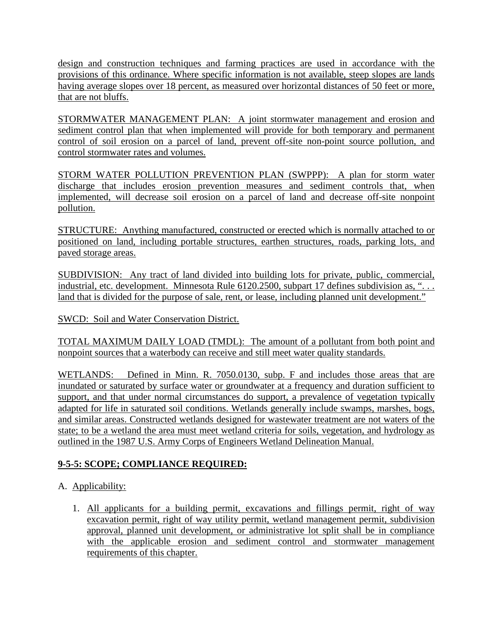design and construction techniques and farming practices are used in accordance with the provisions of this ordinance. Where specific information is not available, steep slopes are lands having average slopes over 18 percent, as measured over horizontal distances of 50 feet or more, that are not bluffs.

STORMWATER MANAGEMENT PLAN: A joint stormwater management and erosion and sediment control plan that when implemented will provide for both temporary and permanent control of soil erosion on a parcel of land, prevent off-site non-point source pollution, and control stormwater rates and volumes.

STORM WATER POLLUTION PREVENTION PLAN (SWPPP): A plan for storm water discharge that includes erosion prevention measures and sediment controls that, when implemented, will decrease soil erosion on a parcel of land and decrease off-site nonpoint pollution.

STRUCTURE: Anything manufactured, constructed or erected which is normally attached to or positioned on land, including portable structures, earthen structures, roads, parking lots, and paved storage areas.

SUBDIVISION: Any tract of land divided into building lots for private, public, commercial, industrial, etc. development. Minnesota Rule 6120.2500, subpart 17 defines subdivision as, "... land that is divided for the purpose of sale, rent, or lease, including planned unit development."

SWCD: Soil and Water Conservation District.

TOTAL MAXIMUM DAILY LOAD (TMDL): The amount of a pollutant from both point and nonpoint sources that a waterbody can receive and still meet water quality standards.

WETLANDS: Defined in Minn. R. 7050.0130, subp. F and includes those areas that are inundated or saturated by surface water or groundwater at a frequency and duration sufficient to support, and that under normal circumstances do support, a prevalence of vegetation typically adapted for life in saturated soil conditions. Wetlands generally include swamps, marshes, bogs, and similar areas. Constructed wetlands designed for wastewater treatment are not waters of the state; to be a wetland the area must meet wetland criteria for soils, vegetation, and hydrology as outlined in the 1987 U.S. Army Corps of Engineers Wetland Delineation Manual.

# **9-5-5: SCOPE; COMPLIANCE REQUIRED:**

- A. Applicability:
	- 1. All applicants for a building permit, excavations and fillings permit, right of way excavation permit, right of way utility permit, wetland management permit, subdivision approval, planned unit development, or administrative lot split shall be in compliance with the applicable erosion and sediment control and stormwater management requirements of this chapter.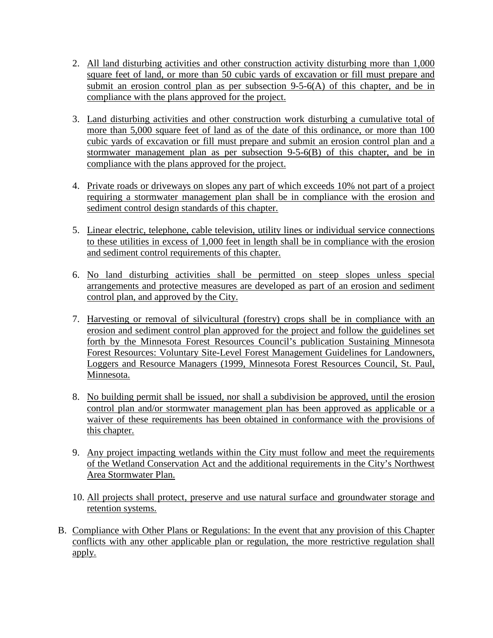- 2. All land disturbing activities and other construction activity disturbing more than 1,000 square feet of land, or more than 50 cubic yards of excavation or fill must prepare and submit an erosion control plan as per subsection 9-5-6(A) of this chapter, and be in compliance with the plans approved for the project.
- 3. Land disturbing activities and other construction work disturbing a cumulative total of more than 5,000 square feet of land as of the date of this ordinance, or more than 100 cubic yards of excavation or fill must prepare and submit an erosion control plan and a stormwater management plan as per subsection 9-5-6(B) of this chapter, and be in compliance with the plans approved for the project.
- 4. Private roads or driveways on slopes any part of which exceeds 10% not part of a project requiring a stormwater management plan shall be in compliance with the erosion and sediment control design standards of this chapter.
- 5. Linear electric, telephone, cable television, utility lines or individual service connections to these utilities in excess of 1,000 feet in length shall be in compliance with the erosion and sediment control requirements of this chapter.
- 6. No land disturbing activities shall be permitted on steep slopes unless special arrangements and protective measures are developed as part of an erosion and sediment control plan, and approved by the City.
- 7. Harvesting or removal of silvicultural (forestry) crops shall be in compliance with an erosion and sediment control plan approved for the project and follow the guidelines set forth by the Minnesota Forest Resources Council's publication Sustaining Minnesota Forest Resources: Voluntary Site-Level Forest Management Guidelines for Landowners, Loggers and Resource Managers (1999, Minnesota Forest Resources Council, St. Paul, Minnesota.
- 8. No building permit shall be issued, nor shall a subdivision be approved, until the erosion control plan and/or stormwater management plan has been approved as applicable or a waiver of these requirements has been obtained in conformance with the provisions of this chapter.
- 9. Any project impacting wetlands within the City must follow and meet the requirements of the Wetland Conservation Act and the additional requirements in the City's Northwest Area Stormwater Plan.
- 10. All projects shall protect, preserve and use natural surface and groundwater storage and retention systems.
- B. Compliance with Other Plans or Regulations: In the event that any provision of this Chapter conflicts with any other applicable plan or regulation, the more restrictive regulation shall apply.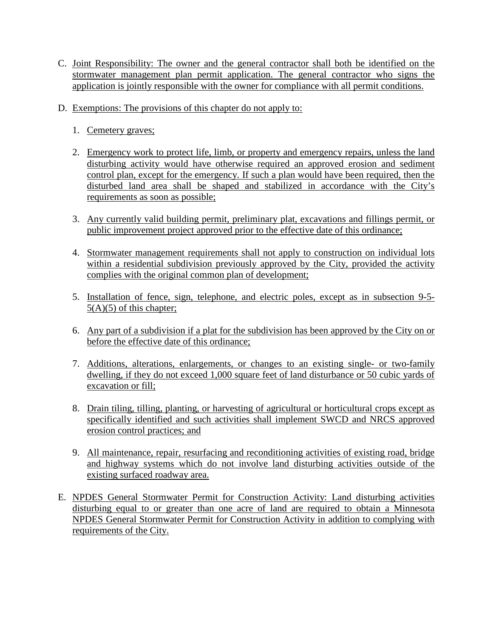- C. Joint Responsibility: The owner and the general contractor shall both be identified on the stormwater management plan permit application. The general contractor who signs the application is jointly responsible with the owner for compliance with all permit conditions.
- D. Exemptions: The provisions of this chapter do not apply to:
	- 1. Cemetery graves;
	- 2. Emergency work to protect life, limb, or property and emergency repairs, unless the land disturbing activity would have otherwise required an approved erosion and sediment control plan, except for the emergency. If such a plan would have been required, then the disturbed land area shall be shaped and stabilized in accordance with the City's requirements as soon as possible;
	- 3. Any currently valid building permit, preliminary plat, excavations and fillings permit, or public improvement project approved prior to the effective date of this ordinance;
	- 4. Stormwater management requirements shall not apply to construction on individual lots within a residential subdivision previously approved by the City, provided the activity complies with the original common plan of development;
	- 5. Installation of fence, sign, telephone, and electric poles, except as in subsection 9-5- 5(A)(5) of this chapter;
	- 6. Any part of a subdivision if a plat for the subdivision has been approved by the City on or before the effective date of this ordinance;
	- 7. Additions, alterations, enlargements, or changes to an existing single- or two-family dwelling, if they do not exceed 1,000 square feet of land disturbance or 50 cubic yards of excavation or fill;
	- 8. Drain tiling, tilling, planting, or harvesting of agricultural or horticultural crops except as specifically identified and such activities shall implement SWCD and NRCS approved erosion control practices; and
	- 9. All maintenance, repair, resurfacing and reconditioning activities of existing road, bridge and highway systems which do not involve land disturbing activities outside of the existing surfaced roadway area.
- E. NPDES General Stormwater Permit for Construction Activity: Land disturbing activities disturbing equal to or greater than one acre of land are required to obtain a Minnesota NPDES General Stormwater Permit for Construction Activity in addition to complying with requirements of the City.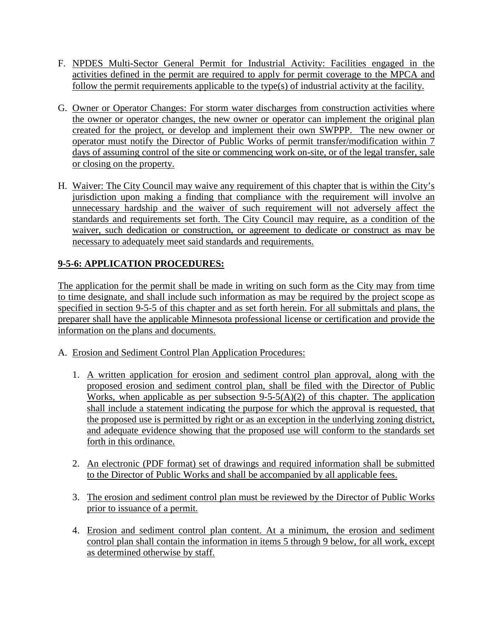- F. NPDES Multi-Sector General Permit for Industrial Activity: Facilities engaged in the activities defined in the permit are required to apply for permit coverage to the MPCA and follow the permit requirements applicable to the type(s) of industrial activity at the facility.
- G. Owner or Operator Changes: For storm water discharges from construction activities where the owner or operator changes, the new owner or operator can implement the original plan created for the project, or develop and implement their own SWPPP. The new owner or operator must notify the Director of Public Works of permit transfer/modification within 7 days of assuming control of the site or commencing work on-site, or of the legal transfer, sale or closing on the property.
- H. Waiver: The City Council may waive any requirement of this chapter that is within the City's jurisdiction upon making a finding that compliance with the requirement will involve an unnecessary hardship and the waiver of such requirement will not adversely affect the standards and requirements set forth. The City Council may require, as a condition of the waiver, such dedication or construction, or agreement to dedicate or construct as may be necessary to adequately meet said standards and requirements.

# **9-5-6: APPLICATION PROCEDURES:**

The application for the permit shall be made in writing on such form as the City may from time to time designate, and shall include such information as may be required by the project scope as specified in section 9-5-5 of this chapter and as set forth herein. For all submittals and plans, the preparer shall have the applicable Minnesota professional license or certification and provide the information on the plans and documents.

- A. Erosion and Sediment Control Plan Application Procedures:
	- 1. A written application for erosion and sediment control plan approval, along with the proposed erosion and sediment control plan, shall be filed with the Director of Public Works, when applicable as per subsection  $9-5-5(A)(2)$  of this chapter. The application shall include a statement indicating the purpose for which the approval is requested, that the proposed use is permitted by right or as an exception in the underlying zoning district, and adequate evidence showing that the proposed use will conform to the standards set forth in this ordinance.
	- 2. An electronic (PDF format) set of drawings and required information shall be submitted to the Director of Public Works and shall be accompanied by all applicable fees.
	- 3. The erosion and sediment control plan must be reviewed by the Director of Public Works prior to issuance of a permit.
	- 4. Erosion and sediment control plan content. At a minimum, the erosion and sediment control plan shall contain the information in items 5 through 9 below, for all work, except as determined otherwise by staff.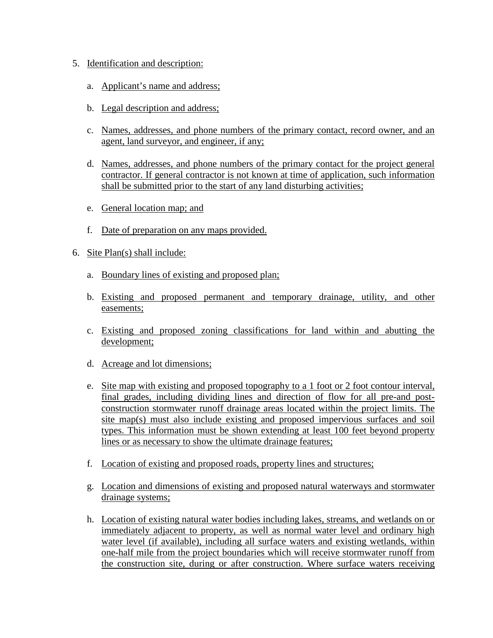- 5. Identification and description:
	- a. Applicant's name and address;
	- b. Legal description and address;
	- c. Names, addresses, and phone numbers of the primary contact, record owner, and an agent, land surveyor, and engineer, if any;
	- d. Names, addresses, and phone numbers of the primary contact for the project general contractor. If general contractor is not known at time of application, such information shall be submitted prior to the start of any land disturbing activities;
	- e. General location map; and
	- f. Date of preparation on any maps provided.
- 6. Site Plan(s) shall include:
	- a. Boundary lines of existing and proposed plan;
	- b. Existing and proposed permanent and temporary drainage, utility, and other easements;
	- c. Existing and proposed zoning classifications for land within and abutting the development;
	- d. Acreage and lot dimensions;
	- e. Site map with existing and proposed topography to a 1 foot or 2 foot contour interval, final grades, including dividing lines and direction of flow for all pre-and postconstruction stormwater runoff drainage areas located within the project limits. The site map(s) must also include existing and proposed impervious surfaces and soil types. This information must be shown extending at least 100 feet beyond property lines or as necessary to show the ultimate drainage features;
	- f. Location of existing and proposed roads, property lines and structures;
	- g. Location and dimensions of existing and proposed natural waterways and stormwater drainage systems;
	- h. Location of existing natural water bodies including lakes, streams, and wetlands on or immediately adjacent to property, as well as normal water level and ordinary high water level (if available), including all surface waters and existing wetlands, within one-half mile from the project boundaries which will receive stormwater runoff from the construction site, during or after construction. Where surface waters receiving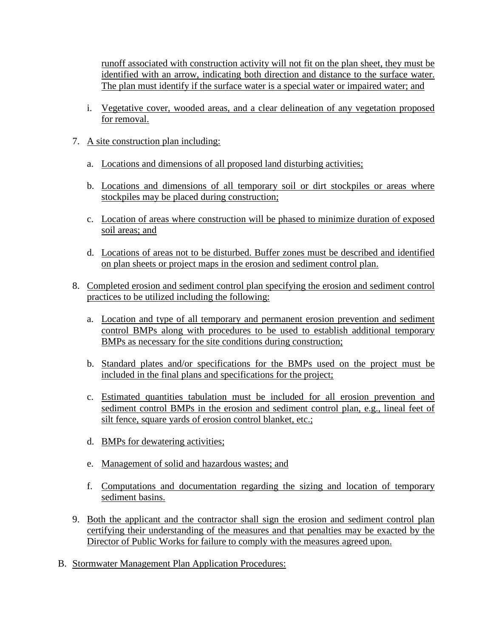runoff associated with construction activity will not fit on the plan sheet, they must be identified with an arrow, indicating both direction and distance to the surface water. The plan must identify if the surface water is a special water or impaired water; and

- i. Vegetative cover, wooded areas, and a clear delineation of any vegetation proposed for removal.
- 7. A site construction plan including:
	- a. Locations and dimensions of all proposed land disturbing activities;
	- b. Locations and dimensions of all temporary soil or dirt stockpiles or areas where stockpiles may be placed during construction;
	- c. Location of areas where construction will be phased to minimize duration of exposed soil areas; and
	- d. Locations of areas not to be disturbed. Buffer zones must be described and identified on plan sheets or project maps in the erosion and sediment control plan.
- 8. Completed erosion and sediment control plan specifying the erosion and sediment control practices to be utilized including the following:
	- a. Location and type of all temporary and permanent erosion prevention and sediment control BMPs along with procedures to be used to establish additional temporary BMPs as necessary for the site conditions during construction;
	- b. Standard plates and/or specifications for the BMPs used on the project must be included in the final plans and specifications for the project;
	- c. Estimated quantities tabulation must be included for all erosion prevention and sediment control BMPs in the erosion and sediment control plan, e.g., lineal feet of silt fence, square yards of erosion control blanket, etc.;
	- d. BMPs for dewatering activities;
	- e. Management of solid and hazardous wastes; and
	- f. Computations and documentation regarding the sizing and location of temporary sediment basins.
- 9. Both the applicant and the contractor shall sign the erosion and sediment control plan certifying their understanding of the measures and that penalties may be exacted by the Director of Public Works for failure to comply with the measures agreed upon.
- B. Stormwater Management Plan Application Procedures: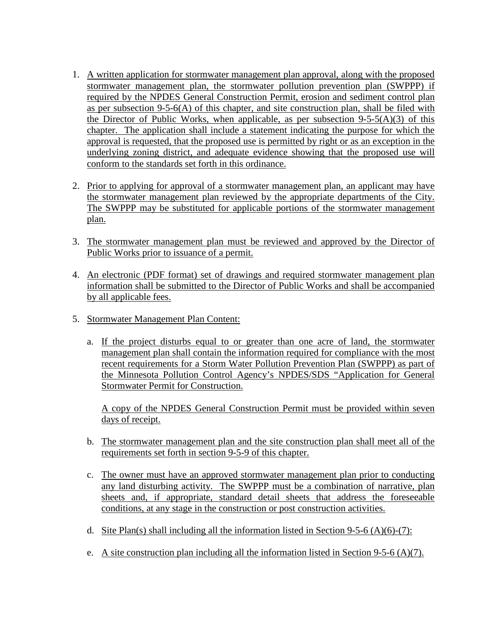- 1. A written application for stormwater management plan approval, along with the proposed stormwater management plan, the stormwater pollution prevention plan (SWPPP) if required by the NPDES General Construction Permit, erosion and sediment control plan as per subsection  $9-5-6(A)$  of this chapter, and site construction plan, shall be filed with the Director of Public Works, when applicable, as per subsection  $9-5-5(A)(3)$  of this chapter. The application shall include a statement indicating the purpose for which the approval is requested, that the proposed use is permitted by right or as an exception in the underlying zoning district, and adequate evidence showing that the proposed use will conform to the standards set forth in this ordinance.
- 2. Prior to applying for approval of a stormwater management plan, an applicant may have the stormwater management plan reviewed by the appropriate departments of the City. The SWPPP may be substituted for applicable portions of the stormwater management plan.
- 3. The stormwater management plan must be reviewed and approved by the Director of Public Works prior to issuance of a permit.
- 4. An electronic (PDF format) set of drawings and required stormwater management plan information shall be submitted to the Director of Public Works and shall be accompanied by all applicable fees.
- 5. Stormwater Management Plan Content:
	- a. If the project disturbs equal to or greater than one acre of land, the stormwater management plan shall contain the information required for compliance with the most recent requirements for a Storm Water Pollution Prevention Plan (SWPPP) as part of the Minnesota Pollution Control Agency's NPDES/SDS "Application for General Stormwater Permit for Construction.

A copy of the NPDES General Construction Permit must be provided within seven days of receipt.

- b. The stormwater management plan and the site construction plan shall meet all of the requirements set forth in section 9-5-9 of this chapter.
- c. The owner must have an approved stormwater management plan prior to conducting any land disturbing activity. The SWPPP must be a combination of narrative, plan sheets and, if appropriate, standard detail sheets that address the foreseeable conditions, at any stage in the construction or post construction activities.
- d. Site Plan(s) shall including all the information listed in Section 9-5-6 (A)(6)-(7):
- e. A site construction plan including all the information listed in Section 9-5-6 (A)(7).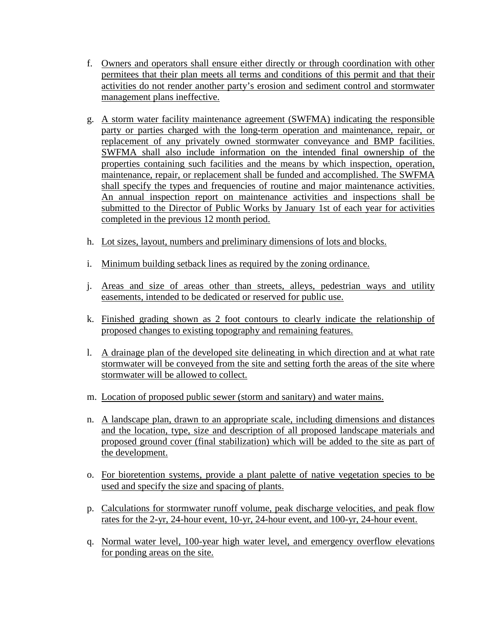- f. Owners and operators shall ensure either directly or through coordination with other permitees that their plan meets all terms and conditions of this permit and that their activities do not render another party's erosion and sediment control and stormwater management plans ineffective.
- g. A storm water facility maintenance agreement (SWFMA) indicating the responsible party or parties charged with the long-term operation and maintenance, repair, or replacement of any privately owned stormwater conveyance and BMP facilities. SWFMA shall also include information on the intended final ownership of the properties containing such facilities and the means by which inspection, operation, maintenance, repair, or replacement shall be funded and accomplished. The SWFMA shall specify the types and frequencies of routine and major maintenance activities. An annual inspection report on maintenance activities and inspections shall be submitted to the Director of Public Works by January 1st of each year for activities completed in the previous 12 month period.
- h. Lot sizes, layout, numbers and preliminary dimensions of lots and blocks.
- i. Minimum building setback lines as required by the zoning ordinance.
- j. Areas and size of areas other than streets, alleys, pedestrian ways and utility easements, intended to be dedicated or reserved for public use.
- k. Finished grading shown as 2 foot contours to clearly indicate the relationship of proposed changes to existing topography and remaining features.
- l. A drainage plan of the developed site delineating in which direction and at what rate stormwater will be conveyed from the site and setting forth the areas of the site where stormwater will be allowed to collect.
- m. Location of proposed public sewer (storm and sanitary) and water mains.
- n. A landscape plan, drawn to an appropriate scale, including dimensions and distances and the location, type, size and description of all proposed landscape materials and proposed ground cover (final stabilization) which will be added to the site as part of the development.
- o. For bioretention systems, provide a plant palette of native vegetation species to be used and specify the size and spacing of plants.
- p. Calculations for stormwater runoff volume, peak discharge velocities, and peak flow rates for the 2-yr, 24-hour event, 10-yr, 24-hour event, and 100-yr, 24-hour event.
- q. Normal water level, 100-year high water level, and emergency overflow elevations for ponding areas on the site.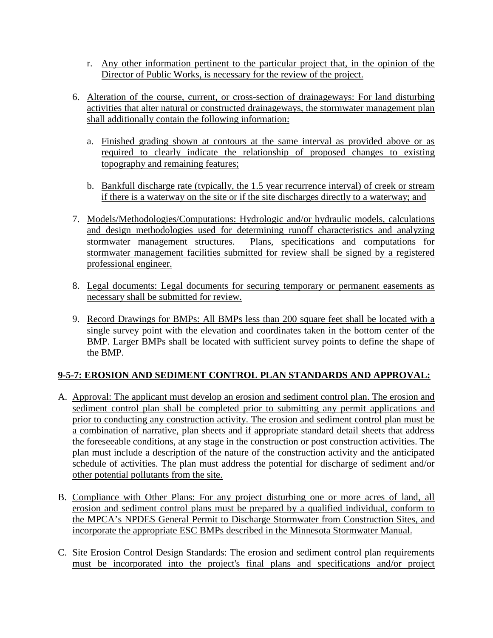- r. Any other information pertinent to the particular project that, in the opinion of the Director of Public Works, is necessary for the review of the project.
- 6. Alteration of the course, current, or cross-section of drainageways: For land disturbing activities that alter natural or constructed drainageways, the stormwater management plan shall additionally contain the following information:
	- a. Finished grading shown at contours at the same interval as provided above or as required to clearly indicate the relationship of proposed changes to existing topography and remaining features;
	- b. Bankfull discharge rate (typically, the 1.5 year recurrence interval) of creek or stream if there is a waterway on the site or if the site discharges directly to a waterway; and
- 7. Models/Methodologies/Computations: Hydrologic and/or hydraulic models, calculations and design methodologies used for determining runoff characteristics and analyzing stormwater management structures. Plans, specifications and computations for stormwater management facilities submitted for review shall be signed by a registered professional engineer.
- 8. Legal documents: Legal documents for securing temporary or permanent easements as necessary shall be submitted for review.
- 9. Record Drawings for BMPs: All BMPs less than 200 square feet shall be located with a single survey point with the elevation and coordinates taken in the bottom center of the BMP. Larger BMPs shall be located with sufficient survey points to define the shape of the BMP.

# **9-5-7: EROSION AND SEDIMENT CONTROL PLAN STANDARDS AND APPROVAL:**

- A. Approval: The applicant must develop an erosion and sediment control plan. The erosion and sediment control plan shall be completed prior to submitting any permit applications and prior to conducting any construction activity. The erosion and sediment control plan must be a combination of narrative, plan sheets and if appropriate standard detail sheets that address the foreseeable conditions, at any stage in the construction or post construction activities. The plan must include a description of the nature of the construction activity and the anticipated schedule of activities. The plan must address the potential for discharge of sediment and/or other potential pollutants from the site.
- B. Compliance with Other Plans: For any project disturbing one or more acres of land, all erosion and sediment control plans must be prepared by a qualified individual, conform to the MPCA's NPDES General Permit to Discharge Stormwater from Construction Sites, and incorporate the appropriate ESC BMPs described in the Minnesota Stormwater Manual.
- C. Site Erosion Control Design Standards: The erosion and sediment control plan requirements must be incorporated into the project's final plans and specifications and/or project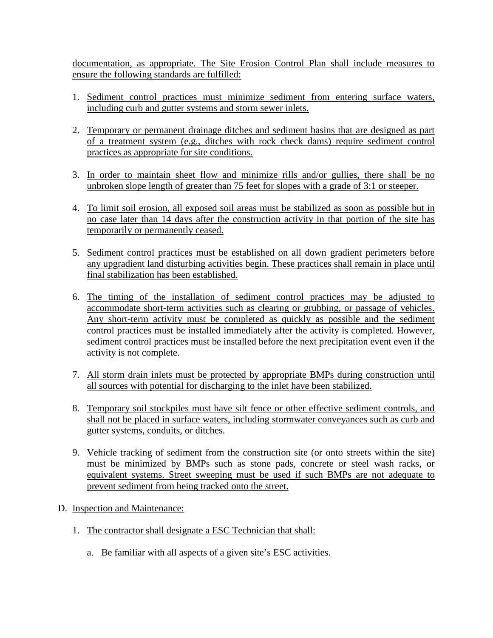documentation, as appropriate. The Site Erosion Control Plan shall include measures to ensure the following standards are fulfilled:

- 1. Sediment control practices must minimize sediment from entering surface waters, including curb and gutter systems and storm sewer inlets.
- 2. Temporary or permanent drainage ditches and sediment basins that are designed as part of a treatment system (e.g., ditches with rock check dams) require sediment control practices as appropriate for site conditions.
- 3. In order to maintain sheet flow and minimize rills and/or gullies, there shall be no unbroken slope length of greater than 75 feet for slopes with a grade of 3:1 or steeper.
- 4. To limit soil erosion, all exposed soil areas must be stabilized as soon as possible but in no case later than 14 days after the construction activity in that portion of the site has temporarily or permanently ceased.
- 5. Sediment control practices must be established on all down gradient perimeters before any upgradient land disturbing activities begin. These practices shall remain in place until final stabilization has been established.
- 6. The timing of the installation of sediment control practices may be adjusted to accommodate short-term activities such as clearing or grubbing, or passage of vehicles. Any short-term activity must be completed as quickly as possible and the sediment control practices must be installed immediately after the activity is completed. However, sediment control practices must be installed before the next precipitation event even if the activity is not complete.
- 7. All storm drain inlets must be protected by appropriate BMPs during construction until all sources with potential for discharging to the inlet have been stabilized.
- 8. Temporary soil stockpiles must have silt fence or other effective sediment controls, and shall not be placed in surface waters, including stormwater conveyances such as curb and gutter systems, conduits, or ditches.
- 9. Vehicle tracking of sediment from the construction site (or onto streets within the site) must be minimized by BMPs such as stone pads, concrete or steel wash racks, or equivalent systems. Street sweeping must be used if such BMPs are not adequate to prevent sediment from being tracked onto the street.
- D. Inspection and Maintenance:
	- 1. The contractor shall designate a ESC Technician that shall:
		- a. Be familiar with all aspects of a given site's ESC activities.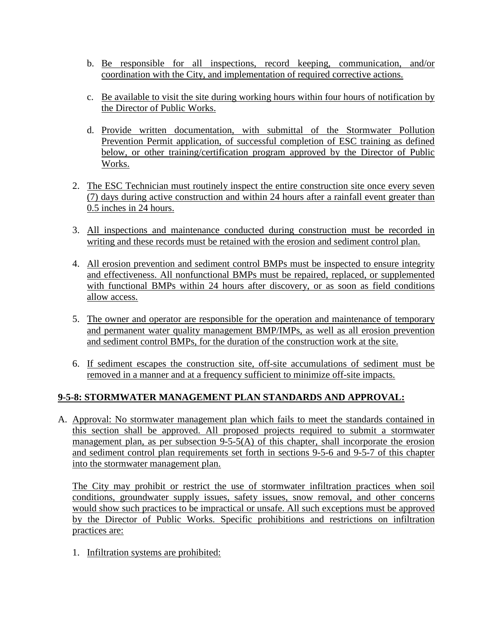- b. Be responsible for all inspections, record keeping, communication, and/or coordination with the City, and implementation of required corrective actions.
- c. Be available to visit the site during working hours within four hours of notification by the Director of Public Works.
- d. Provide written documentation, with submittal of the Stormwater Pollution Prevention Permit application, of successful completion of ESC training as defined below, or other training/certification program approved by the Director of Public Works.
- 2. The ESC Technician must routinely inspect the entire construction site once every seven (7) days during active construction and within 24 hours after a rainfall event greater than 0.5 inches in 24 hours.
- 3. All inspections and maintenance conducted during construction must be recorded in writing and these records must be retained with the erosion and sediment control plan.
- 4. All erosion prevention and sediment control BMPs must be inspected to ensure integrity and effectiveness. All nonfunctional BMPs must be repaired, replaced, or supplemented with functional BMPs within 24 hours after discovery, or as soon as field conditions allow access.
- 5. The owner and operator are responsible for the operation and maintenance of temporary and permanent water quality management BMP/IMPs, as well as all erosion prevention and sediment control BMPs, for the duration of the construction work at the site.
- 6. If sediment escapes the construction site, off-site accumulations of sediment must be removed in a manner and at a frequency sufficient to minimize off-site impacts.

# **9-5-8: STORMWATER MANAGEMENT PLAN STANDARDS AND APPROVAL:**

A. Approval: No stormwater management plan which fails to meet the standards contained in this section shall be approved. All proposed projects required to submit a stormwater management plan, as per subsection 9-5-5(A) of this chapter, shall incorporate the erosion and sediment control plan requirements set forth in sections 9-5-6 and 9-5-7 of this chapter into the stormwater management plan.

The City may prohibit or restrict the use of stormwater infiltration practices when soil conditions, groundwater supply issues, safety issues, snow removal, and other concerns would show such practices to be impractical or unsafe. All such exceptions must be approved by the Director of Public Works. Specific prohibitions and restrictions on infiltration practices are:

1. Infiltration systems are prohibited: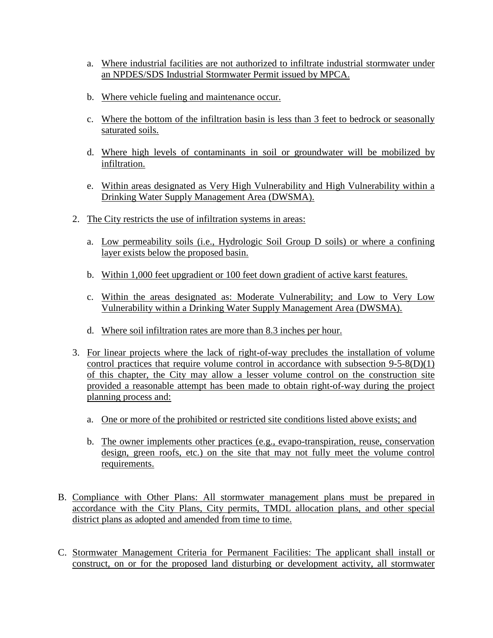- a. Where industrial facilities are not authorized to infiltrate industrial stormwater under an NPDES/SDS Industrial Stormwater Permit issued by MPCA.
- b. Where vehicle fueling and maintenance occur.
- c. Where the bottom of the infiltration basin is less than 3 feet to bedrock or seasonally saturated soils.
- d. Where high levels of contaminants in soil or groundwater will be mobilized by infiltration.
- e. Within areas designated as Very High Vulnerability and High Vulnerability within a Drinking Water Supply Management Area (DWSMA).
- 2. The City restricts the use of infiltration systems in areas:
	- a. Low permeability soils (i.e., Hydrologic Soil Group D soils) or where a confining layer exists below the proposed basin.
	- b. Within 1,000 feet upgradient or 100 feet down gradient of active karst features.
	- c. Within the areas designated as: Moderate Vulnerability; and Low to Very Low Vulnerability within a Drinking Water Supply Management Area (DWSMA).
	- d. Where soil infiltration rates are more than 8.3 inches per hour.
- 3. For linear projects where the lack of right-of-way precludes the installation of volume control practices that require volume control in accordance with subsection 9-5-8(D)(1) of this chapter, the City may allow a lesser volume control on the construction site provided a reasonable attempt has been made to obtain right-of-way during the project planning process and:
	- a. One or more of the prohibited or restricted site conditions listed above exists; and
	- b. The owner implements other practices (e.g., evapo-transpiration, reuse, conservation design, green roofs, etc.) on the site that may not fully meet the volume control requirements.
- B. Compliance with Other Plans: All stormwater management plans must be prepared in accordance with the City Plans, City permits, TMDL allocation plans, and other special district plans as adopted and amended from time to time.
- C. Stormwater Management Criteria for Permanent Facilities: The applicant shall install or construct, on or for the proposed land disturbing or development activity, all stormwater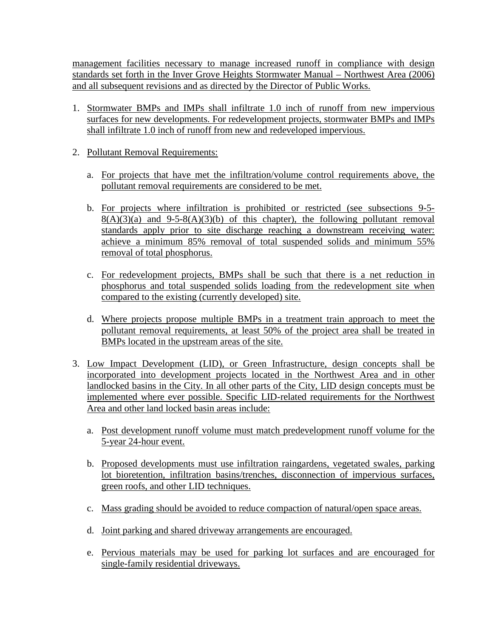management facilities necessary to manage increased runoff in compliance with design standards set forth in the Inver Grove Heights Stormwater Manual – Northwest Area (2006) and all subsequent revisions and as directed by the Director of Public Works.

- 1. Stormwater BMPs and IMPs shall infiltrate 1.0 inch of runoff from new impervious surfaces for new developments. For redevelopment projects, stormwater BMPs and IMPs shall infiltrate 1.0 inch of runoff from new and redeveloped impervious.
- 2. Pollutant Removal Requirements:
	- a. For projects that have met the infiltration/volume control requirements above, the pollutant removal requirements are considered to be met.
	- b. For projects where infiltration is prohibited or restricted (see subsections 9-5-  $8(A)(3)(a)$  and  $9-5-8(A)(3)(b)$  of this chapter), the following pollutant removal standards apply prior to site discharge reaching a downstream receiving water: achieve a minimum 85% removal of total suspended solids and minimum 55% removal of total phosphorus.
	- c. For redevelopment projects, BMPs shall be such that there is a net reduction in phosphorus and total suspended solids loading from the redevelopment site when compared to the existing (currently developed) site.
	- d. Where projects propose multiple BMPs in a treatment train approach to meet the pollutant removal requirements, at least 50% of the project area shall be treated in BMPs located in the upstream areas of the site.
- 3. Low Impact Development (LID), or Green Infrastructure, design concepts shall be incorporated into development projects located in the Northwest Area and in other landlocked basins in the City. In all other parts of the City, LID design concepts must be implemented where ever possible. Specific LID-related requirements for the Northwest Area and other land locked basin areas include:
	- a. Post development runoff volume must match predevelopment runoff volume for the 5-year 24-hour event.
	- b. Proposed developments must use infiltration raingardens, vegetated swales, parking lot bioretention, infiltration basins/trenches, disconnection of impervious surfaces, green roofs, and other LID techniques.
	- c. Mass grading should be avoided to reduce compaction of natural/open space areas.
	- d. Joint parking and shared driveway arrangements are encouraged.
	- e. Pervious materials may be used for parking lot surfaces and are encouraged for single-family residential driveways.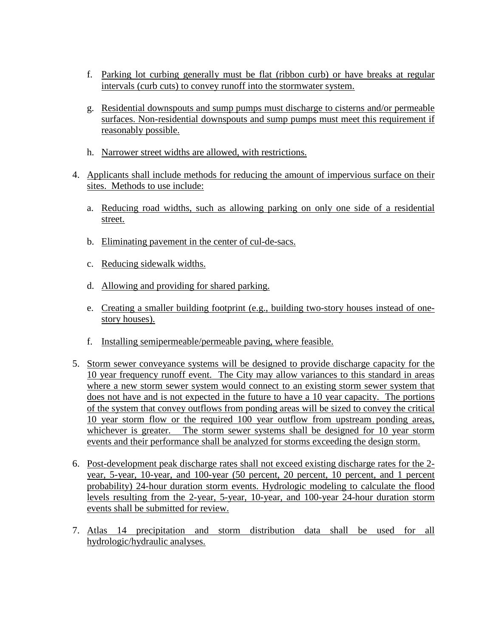- f. Parking lot curbing generally must be flat (ribbon curb) or have breaks at regular intervals (curb cuts) to convey runoff into the stormwater system.
- g. Residential downspouts and sump pumps must discharge to cisterns and/or permeable surfaces. Non-residential downspouts and sump pumps must meet this requirement if reasonably possible.
- h. Narrower street widths are allowed, with restrictions.
- 4. Applicants shall include methods for reducing the amount of impervious surface on their sites. Methods to use include:
	- a. Reducing road widths, such as allowing parking on only one side of a residential street.
	- b. Eliminating pavement in the center of cul-de-sacs.
	- c. Reducing sidewalk widths.
	- d. Allowing and providing for shared parking.
	- e. Creating a smaller building footprint (e.g., building two-story houses instead of onestory houses).
	- f. Installing semipermeable/permeable paving, where feasible.
- 5. Storm sewer conveyance systems will be designed to provide discharge capacity for the 10 year frequency runoff event. The City may allow variances to this standard in areas where a new storm sewer system would connect to an existing storm sewer system that does not have and is not expected in the future to have a 10 year capacity. The portions of the system that convey outflows from ponding areas will be sized to convey the critical 10 year storm flow or the required 100 year outflow from upstream ponding areas, whichever is greater. The storm sewer systems shall be designed for 10 year storm events and their performance shall be analyzed for storms exceeding the design storm.
- 6. Post-development peak discharge rates shall not exceed existing discharge rates for the 2 year, 5-year, 10-year, and 100-year (50 percent, 20 percent, 10 percent, and 1 percent probability) 24-hour duration storm events. Hydrologic modeling to calculate the flood levels resulting from the 2-year, 5-year, 10-year, and 100-year 24-hour duration storm events shall be submitted for review.
- 7. Atlas 14 precipitation and storm distribution data shall be used for all hydrologic/hydraulic analyses.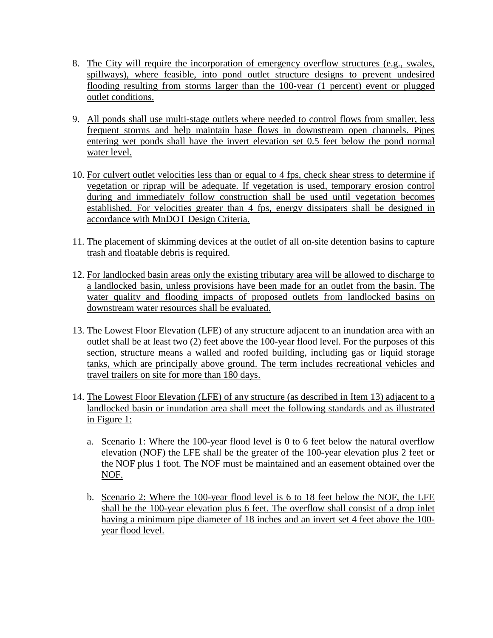- 8. The City will require the incorporation of emergency overflow structures (e.g., swales, spillways), where feasible, into pond outlet structure designs to prevent undesired flooding resulting from storms larger than the 100-year (1 percent) event or plugged outlet conditions.
- 9. All ponds shall use multi-stage outlets where needed to control flows from smaller, less frequent storms and help maintain base flows in downstream open channels. Pipes entering wet ponds shall have the invert elevation set 0.5 feet below the pond normal water level.
- 10. For culvert outlet velocities less than or equal to 4 fps, check shear stress to determine if vegetation or riprap will be adequate. If vegetation is used, temporary erosion control during and immediately follow construction shall be used until vegetation becomes established. For velocities greater than 4 fps, energy dissipaters shall be designed in accordance with MnDOT Design Criteria.
- 11. The placement of skimming devices at the outlet of all on-site detention basins to capture trash and floatable debris is required.
- 12. For landlocked basin areas only the existing tributary area will be allowed to discharge to a landlocked basin, unless provisions have been made for an outlet from the basin. The water quality and flooding impacts of proposed outlets from landlocked basins on downstream water resources shall be evaluated.
- 13. The Lowest Floor Elevation (LFE) of any structure adjacent to an inundation area with an outlet shall be at least two (2) feet above the 100-year flood level. For the purposes of this section, structure means a walled and roofed building, including gas or liquid storage tanks, which are principally above ground. The term includes recreational vehicles and travel trailers on site for more than 180 days.
- 14. The Lowest Floor Elevation (LFE) of any structure (as described in Item 13) adjacent to a landlocked basin or inundation area shall meet the following standards and as illustrated in Figure 1:
	- a. Scenario 1: Where the 100-year flood level is 0 to 6 feet below the natural overflow elevation (NOF) the LFE shall be the greater of the 100-year elevation plus 2 feet or the NOF plus 1 foot. The NOF must be maintained and an easement obtained over the NOF.
	- b. Scenario 2: Where the 100-year flood level is 6 to 18 feet below the NOF, the LFE shall be the 100-year elevation plus 6 feet. The overflow shall consist of a drop inlet having a minimum pipe diameter of 18 inches and an invert set 4 feet above the 100year flood level.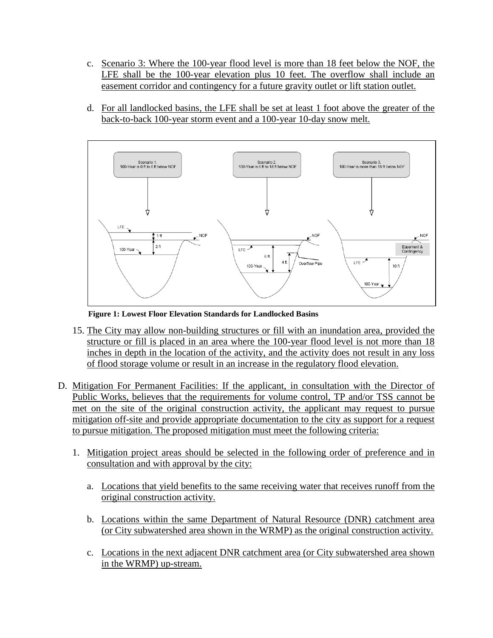- c. Scenario 3: Where the 100-year flood level is more than 18 feet below the NOF, the LFE shall be the 100-year elevation plus 10 feet. The overflow shall include an easement corridor and contingency for a future gravity outlet or lift station outlet.
- d. For all landlocked basins, the LFE shall be set at least 1 foot above the greater of the back-to-back 100-year storm event and a 100-year 10-day snow melt.



**Figure 1: Lowest Floor Elevation Standards for Landlocked Basins**

- 15. The City may allow non-building structures or fill with an inundation area, provided the structure or fill is placed in an area where the 100-year flood level is not more than 18 inches in depth in the location of the activity, and the activity does not result in any loss of flood storage volume or result in an increase in the regulatory flood elevation.
- D. Mitigation For Permanent Facilities: If the applicant, in consultation with the Director of Public Works, believes that the requirements for volume control, TP and/or TSS cannot be met on the site of the original construction activity, the applicant may request to pursue mitigation off-site and provide appropriate documentation to the city as support for a request to pursue mitigation. The proposed mitigation must meet the following criteria:
	- 1. Mitigation project areas should be selected in the following order of preference and in consultation and with approval by the city:
		- a. Locations that yield benefits to the same receiving water that receives runoff from the original construction activity.
		- b. Locations within the same Department of Natural Resource (DNR) catchment area (or City subwatershed area shown in the WRMP) as the original construction activity.
		- c. Locations in the next adjacent DNR catchment area (or City subwatershed area shown in the WRMP) up-stream.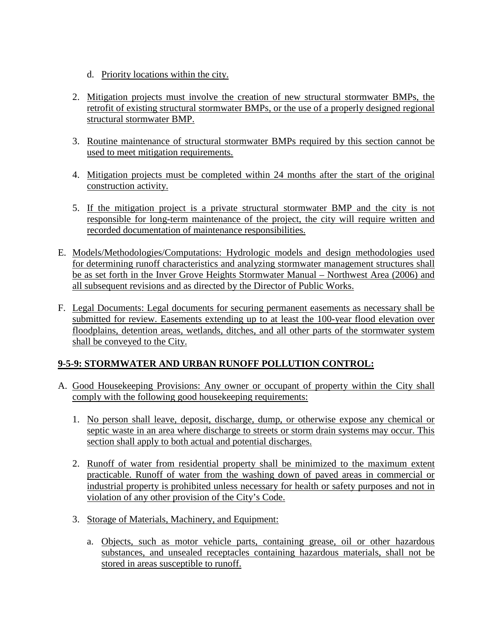- d. Priority locations within the city.
- 2. Mitigation projects must involve the creation of new structural stormwater BMPs, the retrofit of existing structural stormwater BMPs, or the use of a properly designed regional structural stormwater BMP.
- 3. Routine maintenance of structural stormwater BMPs required by this section cannot be used to meet mitigation requirements.
- 4. Mitigation projects must be completed within 24 months after the start of the original construction activity.
- 5. If the mitigation project is a private structural stormwater BMP and the city is not responsible for long-term maintenance of the project, the city will require written and recorded documentation of maintenance responsibilities.
- E. Models/Methodologies/Computations: Hydrologic models and design methodologies used for determining runoff characteristics and analyzing stormwater management structures shall be as set forth in the Inver Grove Heights Stormwater Manual – Northwest Area (2006) and all subsequent revisions and as directed by the Director of Public Works.
- F. Legal Documents: Legal documents for securing permanent easements as necessary shall be submitted for review. Easements extending up to at least the 100-year flood elevation over floodplains, detention areas, wetlands, ditches, and all other parts of the stormwater system shall be conveyed to the City.

## **9-5-9: STORMWATER AND URBAN RUNOFF POLLUTION CONTROL:**

- A. Good Housekeeping Provisions: Any owner or occupant of property within the City shall comply with the following good housekeeping requirements:
	- 1. No person shall leave, deposit, discharge, dump, or otherwise expose any chemical or septic waste in an area where discharge to streets or storm drain systems may occur. This section shall apply to both actual and potential discharges.
	- 2. Runoff of water from residential property shall be minimized to the maximum extent practicable. Runoff of water from the washing down of paved areas in commercial or industrial property is prohibited unless necessary for health or safety purposes and not in violation of any other provision of the City's Code.
	- 3. Storage of Materials, Machinery, and Equipment:
		- a. Objects, such as motor vehicle parts, containing grease, oil or other hazardous substances, and unsealed receptacles containing hazardous materials, shall not be stored in areas susceptible to runoff.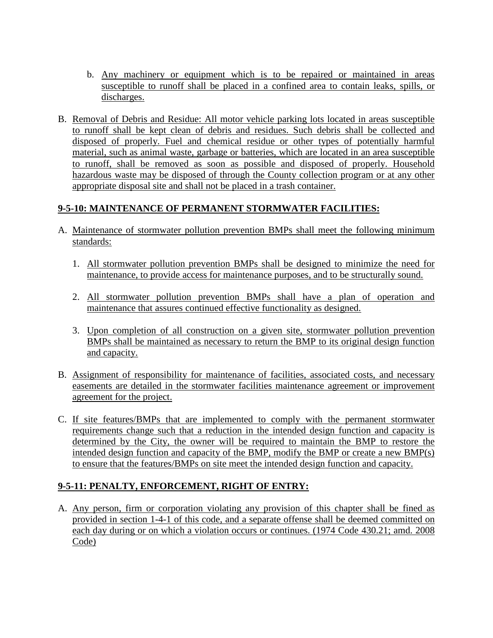- b. Any machinery or equipment which is to be repaired or maintained in areas susceptible to runoff shall be placed in a confined area to contain leaks, spills, or discharges.
- B. Removal of Debris and Residue: All motor vehicle parking lots located in areas susceptible to runoff shall be kept clean of debris and residues. Such debris shall be collected and disposed of properly. Fuel and chemical residue or other types of potentially harmful material, such as animal waste, garbage or batteries, which are located in an area susceptible to runoff, shall be removed as soon as possible and disposed of properly. Household hazardous waste may be disposed of through the County collection program or at any other appropriate disposal site and shall not be placed in a trash container.

## **9-5-10: MAINTENANCE OF PERMANENT STORMWATER FACILITIES:**

- A. Maintenance of stormwater pollution prevention BMPs shall meet the following minimum standards:
	- 1. All stormwater pollution prevention BMPs shall be designed to minimize the need for maintenance, to provide access for maintenance purposes, and to be structurally sound.
	- 2. All stormwater pollution prevention BMPs shall have a plan of operation and maintenance that assures continued effective functionality as designed.
	- 3. Upon completion of all construction on a given site, stormwater pollution prevention BMPs shall be maintained as necessary to return the BMP to its original design function and capacity.
- B. Assignment of responsibility for maintenance of facilities, associated costs, and necessary easements are detailed in the stormwater facilities maintenance agreement or improvement agreement for the project.
- C. If site features/BMPs that are implemented to comply with the permanent stormwater requirements change such that a reduction in the intended design function and capacity is determined by the City, the owner will be required to maintain the BMP to restore the intended design function and capacity of the BMP, modify the BMP or create a new BMP(s) to ensure that the features/BMPs on site meet the intended design function and capacity.

## **9-5-11: PENALTY, ENFORCEMENT, RIGHT OF ENTRY:**

A. Any person, firm or corporation violating any provision of this chapter shall be fined as provided in section 1-4-1 of this code, and a separate offense shall be deemed committed on each day during or on which a violation occurs or continues. (1974 Code 430.21; amd. 2008 Code)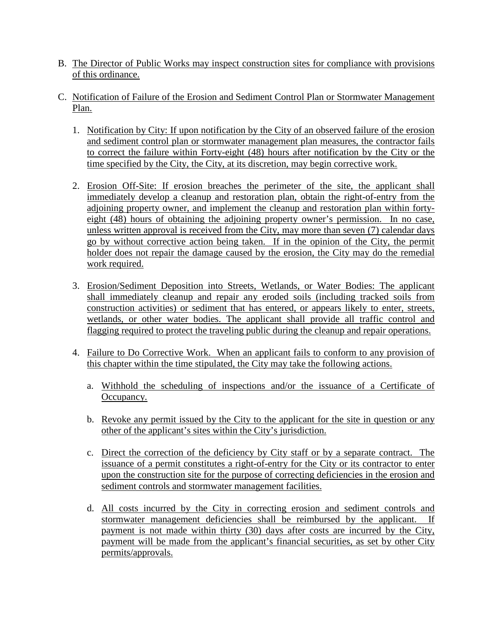- B. The Director of Public Works may inspect construction sites for compliance with provisions of this ordinance.
- C. Notification of Failure of the Erosion and Sediment Control Plan or Stormwater Management Plan.
	- 1. Notification by City: If upon notification by the City of an observed failure of the erosion and sediment control plan or stormwater management plan measures, the contractor fails to correct the failure within Forty-eight (48) hours after notification by the City or the time specified by the City, the City, at its discretion, may begin corrective work.
	- 2. Erosion Off-Site: If erosion breaches the perimeter of the site, the applicant shall immediately develop a cleanup and restoration plan, obtain the right-of-entry from the adjoining property owner, and implement the cleanup and restoration plan within fortyeight (48) hours of obtaining the adjoining property owner's permission. In no case, unless written approval is received from the City, may more than seven (7) calendar days go by without corrective action being taken. If in the opinion of the City, the permit holder does not repair the damage caused by the erosion, the City may do the remedial work required.
	- 3. Erosion/Sediment Deposition into Streets, Wetlands, or Water Bodies: The applicant shall immediately cleanup and repair any eroded soils (including tracked soils from construction activities) or sediment that has entered, or appears likely to enter, streets, wetlands, or other water bodies. The applicant shall provide all traffic control and flagging required to protect the traveling public during the cleanup and repair operations.
	- 4. Failure to Do Corrective Work. When an applicant fails to conform to any provision of this chapter within the time stipulated, the City may take the following actions.
		- a. Withhold the scheduling of inspections and/or the issuance of a Certificate of Occupancy.
		- b. Revoke any permit issued by the City to the applicant for the site in question or any other of the applicant's sites within the City's jurisdiction.
		- c. Direct the correction of the deficiency by City staff or by a separate contract. The issuance of a permit constitutes a right-of-entry for the City or its contractor to enter upon the construction site for the purpose of correcting deficiencies in the erosion and sediment controls and stormwater management facilities.
		- d. All costs incurred by the City in correcting erosion and sediment controls and stormwater management deficiencies shall be reimbursed by the applicant. If payment is not made within thirty (30) days after costs are incurred by the City, payment will be made from the applicant's financial securities, as set by other City permits/approvals.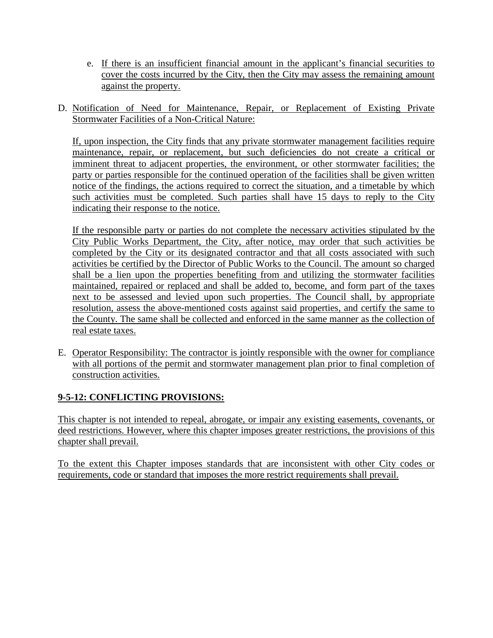- e. If there is an insufficient financial amount in the applicant's financial securities to cover the costs incurred by the City, then the City may assess the remaining amount against the property.
- D. Notification of Need for Maintenance, Repair, or Replacement of Existing Private Stormwater Facilities of a Non-Critical Nature:

If, upon inspection, the City finds that any private stormwater management facilities require maintenance, repair, or replacement, but such deficiencies do not create a critical or imminent threat to adjacent properties, the environment, or other stormwater facilities; the party or parties responsible for the continued operation of the facilities shall be given written notice of the findings, the actions required to correct the situation, and a timetable by which such activities must be completed. Such parties shall have 15 days to reply to the City indicating their response to the notice.

If the responsible party or parties do not complete the necessary activities stipulated by the City Public Works Department, the City, after notice, may order that such activities be completed by the City or its designated contractor and that all costs associated with such activities be certified by the Director of Public Works to the Council. The amount so charged shall be a lien upon the properties benefiting from and utilizing the stormwater facilities maintained, repaired or replaced and shall be added to, become, and form part of the taxes next to be assessed and levied upon such properties. The Council shall, by appropriate resolution, assess the above-mentioned costs against said properties, and certify the same to the County. The same shall be collected and enforced in the same manner as the collection of real estate taxes.

E. Operator Responsibility: The contractor is jointly responsible with the owner for compliance with all portions of the permit and stormwater management plan prior to final completion of construction activities.

# **9-5-12: CONFLICTING PROVISIONS:**

This chapter is not intended to repeal, abrogate, or impair any existing easements, covenants, or deed restrictions. However, where this chapter imposes greater restrictions, the provisions of this chapter shall prevail.

To the extent this Chapter imposes standards that are inconsistent with other City codes or requirements, code or standard that imposes the more restrict requirements shall prevail.